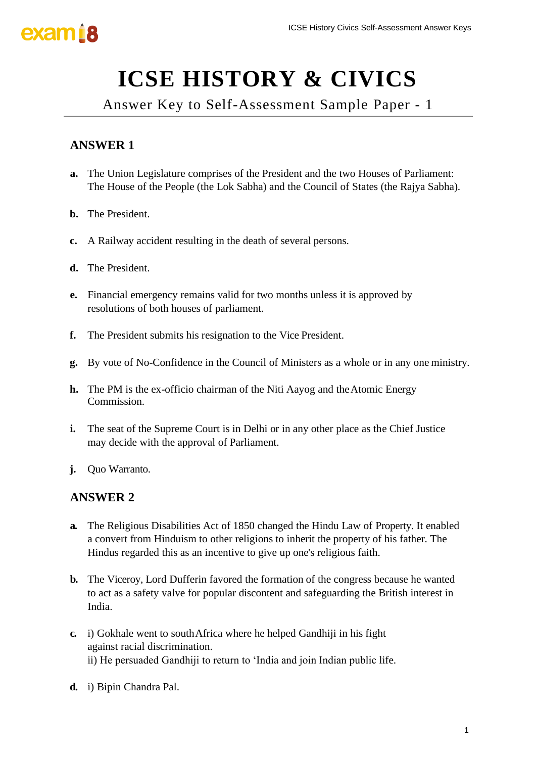# **ICSE HISTORY & CIVICS**

Answer Key to Self-Assessment Sample Paper - 1

### **ANSWER 1**

- **a.** The Union Legislature comprises of the President and the two Houses of Parliament: The House of the People (the Lok Sabha) and the Council of States (the Rajya Sabha).
- **b.** The President.
- **c.** A Railway accident resulting in the death of several persons.
- **d.** The President.
- **e.** Financial emergency remains valid for two months unless it is approved by resolutions of both houses of parliament.
- **f.** The President submits his resignation to the Vice President.
- **g.** By vote of No-Confidence in the Council of Ministers as a whole or in any one ministry.
- **h.** The PM is the ex-officio chairman of the Niti Aayog and theAtomic Energy Commission.
- **i.** The seat of the Supreme Court is in Delhi or in any other place as the Chief Justice may decide with the approval of Parliament.
- **j.** Ouo Warranto.

- **a.** The Religious Disabilities Act of 1850 changed the Hindu Law of Property. It enabled a convert from Hinduism to other religions to inherit the property of his father. The Hindus regarded this as an incentive to give up one's religious faith. ICSE History Civics Self-Assessment Answer Keys<br>
ICSE History Civics Self-Assessment Answer Keys<br>
1999 - Then ICS Sample Paper - 1<br>
1999 - Then ICS States (the Rajya Sabha).<br>
1999 - Weral persons.<br>
1999 - The States (the R
- **b.** The Viceroy, Lord Dufferin favored the formation of the congress because he wanted to act as a safety valve for popular discontent and safeguarding the British interest in India.
- **c.** i) Gokhale went to southAfrica where he helped Gandhiji in his fight against racial discrimination. ii) He persuaded Gandhiji to return to 'India and join Indian public life.
- **d.** i) Bipin Chandra Pal.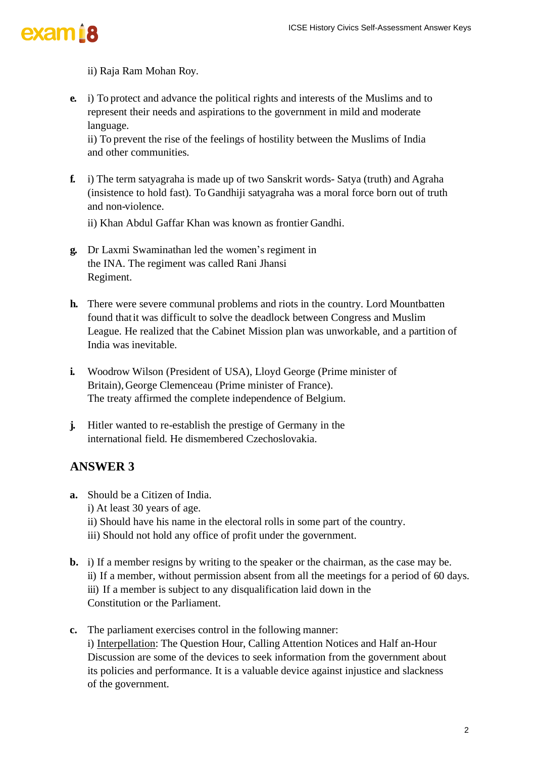

#### ii) Raja Ram Mohan Roy.

**e.** i) To protect and advance the political rights and interests of the Muslims and to represent their needs and aspirations to the government in mild and moderate language.

ii) To prevent the rise of the feelings of hostility between the Muslims of India and other communities.

**f.** i) The term satyagraha is made up of two Sanskrit words- Satya (truth) and Agraha (insistence to hold fast). To Gandhiji satyagraha was a moral force born out of truth and non-violence.

ii) Khan Abdul Gaffar Khan was known as frontier Gandhi.

- **g.** Dr Laxmi Swaminathan led the women's regiment in the INA. The regiment was called Rani Jhansi Regiment.
- **h.** There were severe communal problems and riots in the country. Lord Mountbatten found thatit was difficult to solve the deadlock between Congress and Muslim League. He realized that the Cabinet Mission plan was unworkable, and a partition of India was inevitable.
- **i.** Woodrow Wilson (President of USA), Lloyd George (Prime minister of Britain),George Clemenceau (Prime minister of France). The treaty affirmed the complete independence of Belgium.
- **j.** Hitler wanted to re-establish the prestige of Germany in the international field. He dismembered Czechoslovakia.

- **a.** Should be a Citizen of India. i) At least 30 years of age.
	- ii) Should have his name in the electoral rolls in some part of the country.
	- iii) Should not hold any office of profit under the government.
- **b.** i) If a member resigns by writing to the speaker or the chairman, as the case may be. ii) If a member, without permission absent from all the meetings for a period of 60 days. iii) If a member is subject to any disqualification laid down in the Constitution or the Parliament.
- **c.** The parliament exercises control in the following manner: i) Interpellation: The Question Hour, Calling Attention Notices and Half an-Hour Discussion are some of the devices to seek information from the government about its policies and performance. It is a valuable device against injustice and slackness of the government. ICSE History Civics Self-Assessment Answer Keys<br>
and interests of the Muslims and to<br>
even ment in mild and moderate<br>
y between the Muslims of India<br>
krit words- Satya (truth) and Agraha<br>
a was a moral force born out of tr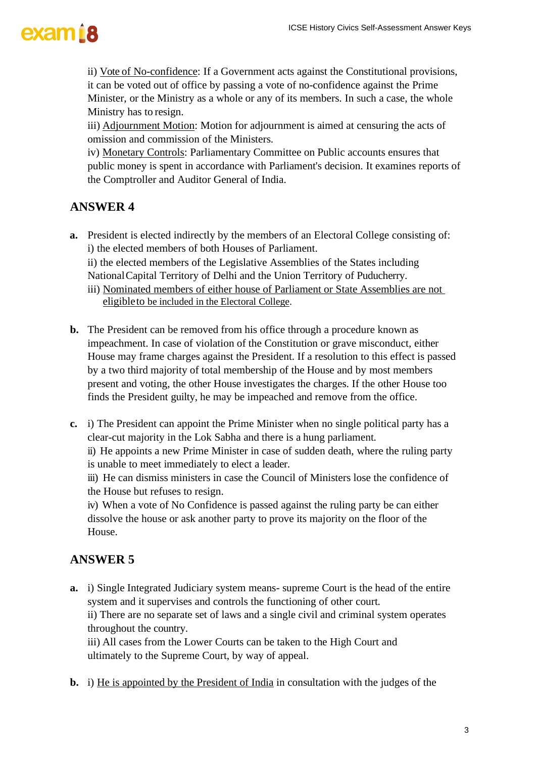

ii) Vote of No-confidence: If a Government acts against the Constitutional provisions, it can be voted out of office by passing a vote of no-confidence against the Prime Minister, or the Ministry as a whole or any of its members. In such a case, the whole Ministry has to resign.

iii) Adjournment Motion: Motion for adjournment is aimed at censuring the acts of omission and commission of the Ministers.

iv) Monetary Controls: Parliamentary Committee on Public accounts ensures that public money is spent in accordance with Parliament's decision. It examines reports of the Comptroller and Auditor General of India.

#### **ANSWER 4**

- **a.** President is elected indirectly by the members of an Electoral College consisting of: i) the elected members of both Houses of Parliament.
	- ii) the elected members of the Legislative Assemblies of the States including NationalCapital Territory of Delhi and the Union Territory of Puducherry.
	- iii) Nominated members of either house of Parliament or State Assemblies are not eligibleto be included in the Electoral College.
- **b.** The President can be removed from his office through a procedure known as impeachment. In case of violation of the Constitution or grave misconduct, either House may frame charges against the President. If a resolution to this effect is passed by a two third majority of total membership of the House and by most members present and voting, the other House investigates the charges. If the other House too finds the President guilty, he may be impeached and remove from the office. ICSE History Civics Self-Assessment Answer Keys<br>
Is against the Constitutional provisions,<br>
In sochiance against the Prime<br>
Its members. In such a case, the whole<br>
Its members. In such a case, the whole<br>
Ite on Public acco
- **c.** i) The President can appoint the Prime Minister when no single political party has a clear-cut majority in the Lok Sabha and there is a hung parliament.

ii) He appoints a new Prime Minister in case of sudden death, where the ruling party is unable to meet immediately to elect a leader.

iii) He can dismiss ministers in case the Council of Ministers lose the confidence of the House but refuses to resign.

iv) When a vote of No Confidence is passed against the ruling party be can either dissolve the house or ask another party to prove its majority on the floor of the House.

#### **ANSWER 5**

**a.** i) Single Integrated Judiciary system means- supreme Court is the head of the entire system and it supervises and controls the functioning of other court.

ii) There are no separate set of laws and a single civil and criminal system operates throughout the country.

iii) All cases from the Lower Courts can be taken to the High Court and ultimately to the Supreme Court, by way of appeal.

**b.** i) He is appointed by the President of India in consultation with the judges of the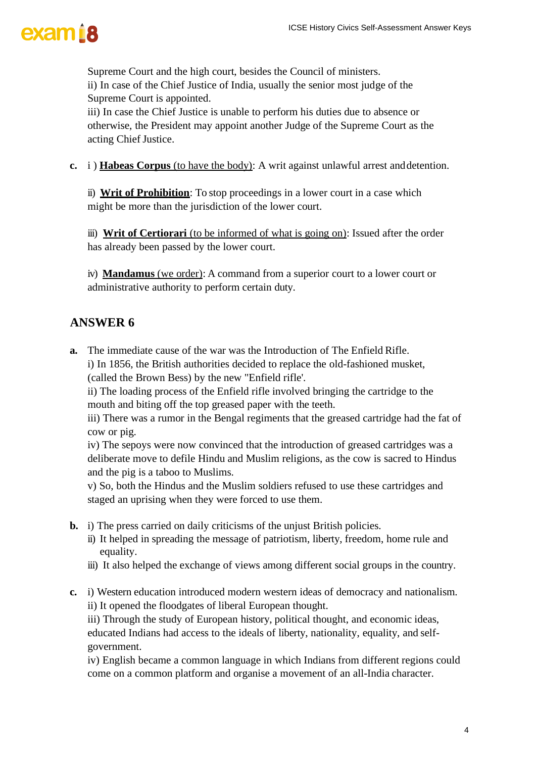Supreme Court and the high court, besides the Council of ministers. ii) In case of the Chief Justice of India, usually the senior most judge of the Supreme Court is appointed.

iii) In case the Chief Justice is unable to perform his duties due to absence or otherwise, the President may appoint another Judge of the Supreme Court as the acting Chief Justice.

**c.** i ) **Habeas Corpus** (to have the body): A writ against unlawful arrest anddetention.

ii) **Writ of Prohibition**: To stop proceedings in a lower court in a case which might be more than the jurisdiction of the lower court.

iii) **Writ of Certiorari** (to be informed of what is going on): Issued after the order has already been passed by the lower court.

iv) **Mandamus** (we order): A command from a superior court to a lower court or administrative authority to perform certain duty.

### **ANSWER 6**

**a.** The immediate cause of the war was the Introduction of The Enfield Rifle.

i) In 1856, the British authorities decided to replace the old-fashioned musket, (called the Brown Bess) by the new "Enfield rifle'.

ii) The loading process of the Enfield rifle involved bringing the cartridge to the mouth and biting off the top greased paper with the teeth.

iii) There was a rumor in the Bengal regiments that the greased cartridge had the fat of cow or pig.

iv) The sepoys were now convinced that the introduction of greased cartridges was a deliberate move to defile Hindu and Muslim religions, as the cow is sacred to Hindus and the pig is a taboo to Muslims. ICSE History Civics Self-Assessment Answer Keys<br>Council of ministers.<br>The senior most judge of the<br>m his duties due to absence or<br>udge of the Supreme Court as the<br>against unlawful arrest and detention.<br>n a lower court in a

v) So, both the Hindus and the Muslim soldiers refused to use these cartridges and staged an uprising when they were forced to use them.

- **b.** i) The press carried on daily criticisms of the unjust British policies.
	- ii) It helped in spreading the message of patriotism, liberty, freedom, home rule and equality.
	- iii) It also helped the exchange of views among different social groups in the country.
- **c.** i) Western education introduced modern western ideas of democracy and nationalism. ii) It opened the floodgates of liberal European thought.

iii) Through the study of European history, political thought, and economic ideas, educated Indians had access to the ideals of liberty, nationality, equality, and selfgovernment.

iv) English became a common language in which Indians from different regions could come on a common platform and organise a movement of an all-India character.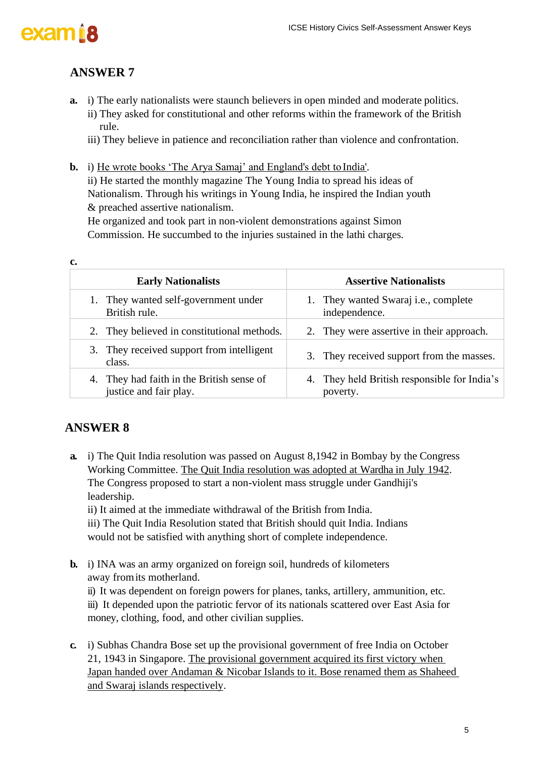



### **ANSWER 7**

- **a.** i) The early nationalists were staunch believers in open minded and moderate politics. ii) They asked for constitutional and other reforms within the framework of the British rule.
	- iii) They believe in patience and reconciliation rather than violence and confrontation.
- **b.** i) He wrote books 'The Arya Samaj' and England's debt to India'.

|                      |                                                                                                                                                                                                                                                                                                                                                                                                                                                                                                      | <b>ICSE History Civics Self-Assessment Answer Keys</b>           |  |
|----------------------|------------------------------------------------------------------------------------------------------------------------------------------------------------------------------------------------------------------------------------------------------------------------------------------------------------------------------------------------------------------------------------------------------------------------------------------------------------------------------------------------------|------------------------------------------------------------------|--|
|                      | <b>ANSWER 7</b>                                                                                                                                                                                                                                                                                                                                                                                                                                                                                      |                                                                  |  |
| a.                   | i) The early nationalists were staunch believers in open minded and moderate politics.<br>ii) They asked for constitutional and other reforms within the framework of the British<br>rule.<br>iii) They believe in patience and reconciliation rather than violence and confrontation.                                                                                                                                                                                                               |                                                                  |  |
| $\mathbf{b}$ .<br>c. | i) He wrote books 'The Arya Samaj' and England's debt to India'.<br>ii) He started the monthly magazine The Young India to spread his ideas of<br>Nationalism. Through his writings in Young India, he inspired the Indian youth<br>& preached assertive nationalism.<br>He organized and took part in non-violent demonstrations against Simon<br>Commission. He succumbed to the injuries sustained in the lathi charges.                                                                          |                                                                  |  |
|                      | <b>Early Nationalists</b>                                                                                                                                                                                                                                                                                                                                                                                                                                                                            | <b>Assertive Nationalists</b>                                    |  |
|                      | They wanted self-government under<br>1.<br>British rule.                                                                                                                                                                                                                                                                                                                                                                                                                                             | They wanted Swaraj <i>i.e.</i> , complete<br>1.<br>independence. |  |
|                      | They believed in constitutional methods.<br>2.                                                                                                                                                                                                                                                                                                                                                                                                                                                       | They were assertive in their approach.<br>2.                     |  |
|                      | They received support from intelligent<br>3.<br>class.                                                                                                                                                                                                                                                                                                                                                                                                                                               | They received support from the masses.<br>3.                     |  |
|                      | They had faith in the British sense of<br>4.<br>justice and fair play.                                                                                                                                                                                                                                                                                                                                                                                                                               | They held British responsible for India's<br>4.<br>poverty.      |  |
|                      | <b>ANSWER 8</b>                                                                                                                                                                                                                                                                                                                                                                                                                                                                                      |                                                                  |  |
| a.                   | i) The Quit India resolution was passed on August 8,1942 in Bombay by the Congress<br>Working Committee. The Quit India resolution was adopted at Wardha in July 1942.<br>The Congress proposed to start a non-violent mass struggle under Gandhiji's<br>leadership.<br>ii) It aimed at the immediate withdrawal of the British from India.<br>iii) The Quit India Resolution stated that British should quit India. Indians<br>would not be satisfied with anything short of complete independence. |                                                                  |  |
| $\mathbf{b}$ .       | i) INA was an army organized on foreign soil, hundreds of kilometers<br>away from its motherland.<br>ii) It was dependent on foreign powers for planes, tanks, artillery, ammunition, etc.<br>iii) It depended upon the patriotic fervor of its nationals scattered over East Asia for<br>money, clothing, food, and other civilian supplies.                                                                                                                                                        |                                                                  |  |
| $c_{\cdot}$          | i) Subhas Chandra Bose set up the provisional government of free India on October<br>21, 1943 in Singapore. The provisional government acquired its first victory when<br>Japan handed over Andaman & Nicobar Islands to it. Bose renamed them as Shaheed<br>and Swaraj islands respectively.                                                                                                                                                                                                        |                                                                  |  |
|                      |                                                                                                                                                                                                                                                                                                                                                                                                                                                                                                      | 5                                                                |  |

#### **ANSWER 8**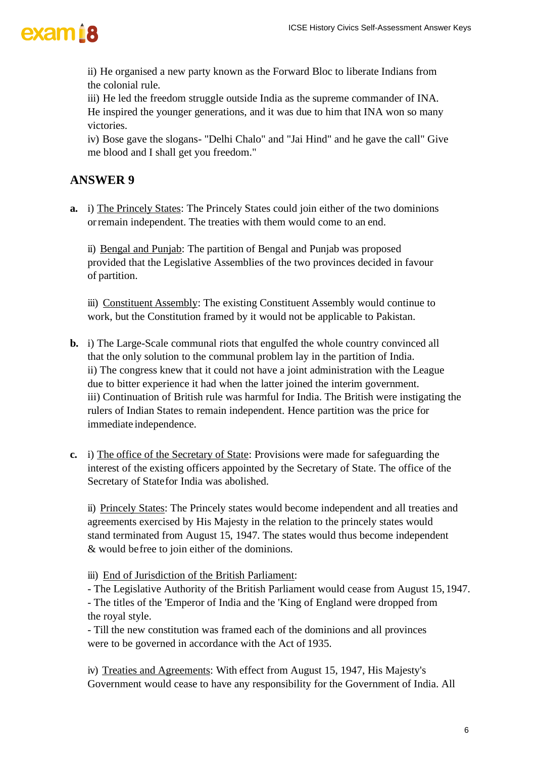

ii) He organised a new party known as the Forward Bloc to liberate Indians from the colonial rule.

iii) He led the freedom struggle outside India as the supreme commander of INA. He inspired the younger generations, and it was due to him that INA won so many victories.

iv) Bose gave the slogans- "Delhi Chalo" and "Jai Hind" and he gave the call" Give me blood and I shall get you freedom."

#### **ANSWER 9**

**a.** i) The Princely States: The Princely States could join either of the two dominions orremain independent. The treaties with them would come to an end.

ii) Bengal and Punjab: The partition of Bengal and Punjab was proposed provided that the Legislative Assemblies of the two provinces decided in favour of partition.

iii) Constituent Assembly: The existing Constituent Assembly would continue to work, but the Constitution framed by it would not be applicable to Pakistan.

- **b.** i) The Large-Scale communal riots that engulfed the whole country convinced all that the only solution to the communal problem lay in the partition of India. ii) The congress knew that it could not have a joint administration with the League due to bitter experience it had when the latter joined the interim government. iii) Continuation of British rule was harmful for India. The British were instigating the rulers of Indian States to remain independent. Hence partition was the price for immediate independence. ICSE History Civics Self-Assessment Answer Keys<br>ward Bloc to liberate Indians from<br>sthe suppreme commander of INA,<br>sthe to b him that INA won so many<br>Tai Hind" and he gave the call" Give<br>Id join either of the two dominions
- **c.** i) The office of the Secretary of State: Provisions were made for safeguarding the interest of the existing officers appointed by the Secretary of State. The office of the Secretary of Statefor India was abolished.

ii) Princely States: The Princely states would become independent and all treaties and agreements exercised by His Majesty in the relation to the princely states would stand terminated from August 15, 1947. The states would thus become independent & would befree to join either of the dominions.

iii) End of Jurisdiction of the British Parliament:

- The Legislative Authority of the British Parliament would cease from August 15,1947. - The titles of the 'Emperor of India and the 'King of England were dropped from the royal style.

- Till the new constitution was framed each of the dominions and all provinces were to be governed in accordance with the Act of 1935.

iv) Treaties and Agreements: With effect from August 15, 1947, His Majesty's Government would cease to have any responsibility for the Government of India. All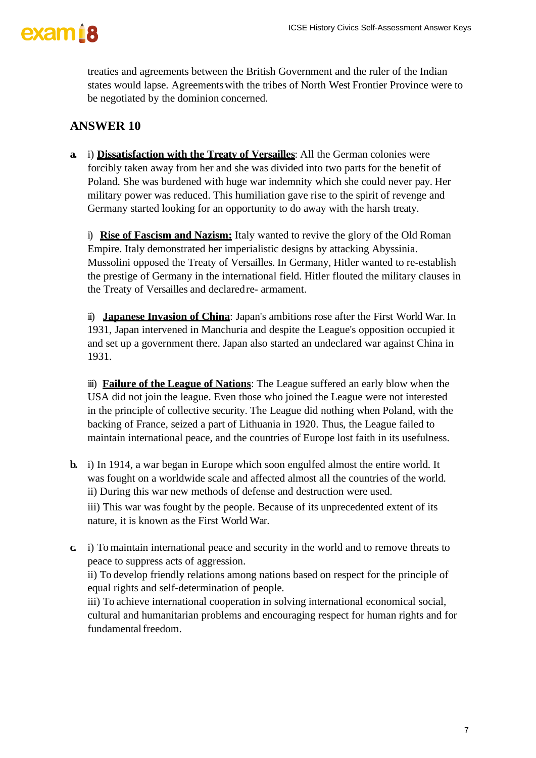

treaties and agreements between the British Government and the ruler of the Indian states would lapse. Agreementswith the tribes of North West Frontier Province were to be negotiated by the dominion concerned.

### **ANSWER 10**

**a.** i) **Dissatisfaction with the Treaty of Versailles**: All the German colonies were forcibly taken away from her and she was divided into two parts for the benefit of Poland. She was burdened with huge war indemnity which she could never pay. Her military power was reduced. This humiliation gave rise to the spirit of revenge and Germany started looking for an opportunity to do away with the harsh treaty.

i) **Rise of Fascism and Nazism:** Italy wanted to revive the glory of the Old Roman Empire. Italy demonstrated her imperialistic designs by attacking Abyssinia. Mussolini opposed the Treaty of Versailles. In Germany, Hitler wanted to re-establish the prestige of Germany in the international field. Hitler flouted the military clauses in the Treaty of Versailles and declared re- armament. ICSE History Civics Self-Assessment Answer Keys<br>overnment and the ruler of the Indian<br>of North West Frontier Province were to<br>edd into two parts for the benefit of<br>any which she could never pay. Her<br>agave rise to the spiri

ii) **Japanese Invasion of China**: Japan's ambitions rose after the First World War. In 1931, Japan intervened in Manchuria and despite the League's opposition occupied it and set up a government there. Japan also started an undeclared war against China in 1931.

iii) **Failure of the League of Nations**: The League suffered an early blow when the USA did not join the league. Even those who joined the League were not interested in the principle of collective security. The League did nothing when Poland, with the backing of France, seized a part of Lithuania in 1920. Thus, the League failed to maintain international peace, and the countries of Europe lost faith in its usefulness.

**b.** i) In 1914, a war began in Europe which soon engulfed almost the entire world. It was fought on a worldwide scale and affected almost all the countries of the world. ii) During this war new methods of defense and destruction were used.

iii) This war was fought by the people. Because of its unprecedented extent of its nature, it is known as the First World War.

**c.** i) To maintain international peace and security in the world and to remove threats to peace to suppress acts of aggression.

ii) To develop friendly relations among nations based on respect for the principle of equal rights and self-determination of people.

iii) To achieve international cooperation in solving international economical social, cultural and humanitarian problems and encouraging respect for human rights and for fundamental freedom.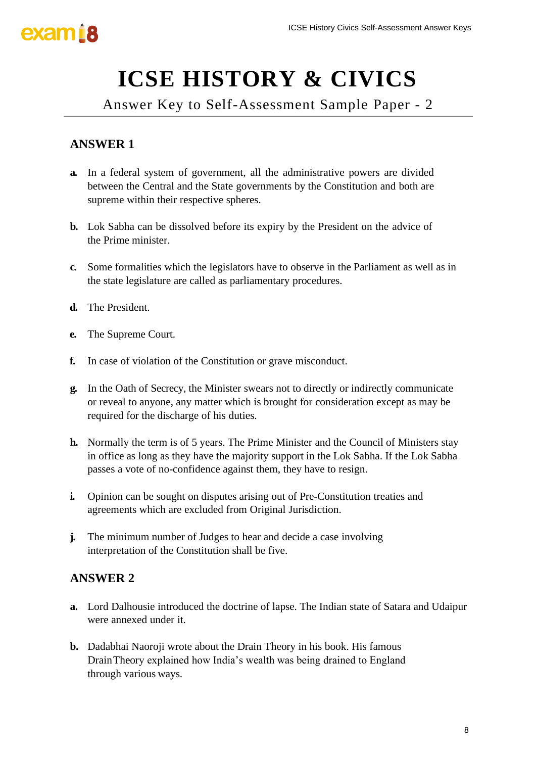# **ICSE HISTORY & CIVICS**

Answer Key to Self-Assessment Sample Paper - 2

## **ANSWER 1**

- **a.** In a federal system of government, all the administrative powers are divided between the Central and the State governments by the Constitution and both are supreme within their respective spheres.
- **b.** Lok Sabha can be dissolved before its expiry by the President on the advice of the Prime minister.
- **c.** Some formalities which the legislators have to observe in the Parliament as well as in the state legislature are called as parliamentary procedures.
- **d.** The President.
- **e.** The Supreme Court.
- **f.** In case of violation of the Constitution or grave misconduct.
- **g.** In the Oath of Secrecy, the Minister swears not to directly or indirectly communicate or reveal to anyone, any matter which is brought for consideration except as may be required for the discharge of his duties.
- **h.** Normally the term is of 5 years. The Prime Minister and the Council of Ministers stay in office as long as they have the majority support in the Lok Sabha. If the Lok Sabha passes a vote of no-confidence against them, they have to resign. ICSE History Civics Self-Assessment Answer Keys<br>
Value of Sample Paper - 2<br>
Unimistrative powers are divided<br>
shy the Constitution and both are<br>
by the President on the advice of<br>
observe in the Parliament as well as in<br>
- **i.** Opinion can be sought on disputes arising out of Pre-Constitution treaties and agreements which are excluded from Original Jurisdiction.
- **j.** The minimum number of Judges to hear and decide a case involving interpretation of the Constitution shall be five.

- **a.** Lord Dalhousie introduced the doctrine of lapse. The Indian state of Satara and Udaipur were annexed under it.
- **b.** Dadabhai Naoroji wrote about the Drain Theory in his book. His famous DrainTheory explained how India's wealth was being drained to England through various ways.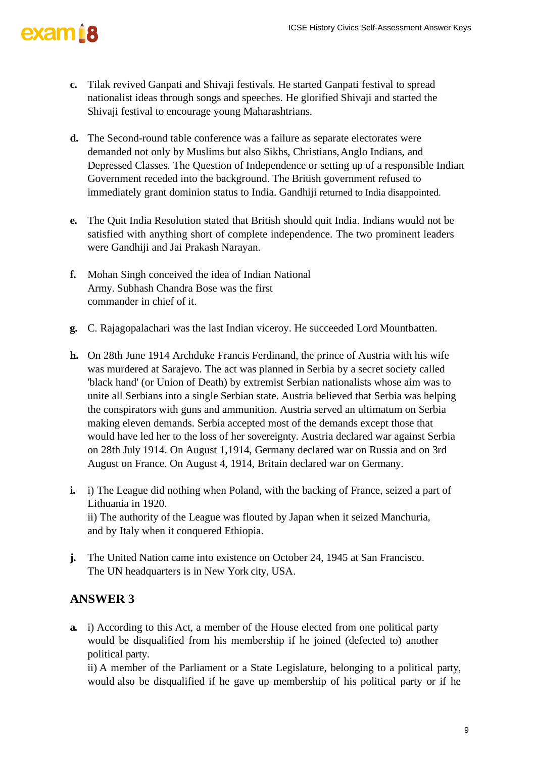- **c.** Tilak revived Ganpati and Shivaji festivals. He started Ganpati festival to spread nationalist ideas through songs and speeches. He glorified Shivaji and started the Shivaji festival to encourage young Maharashtrians.
- **d.** The Second-round table conference was a failure as separate electorates were demanded not only by Muslims but also Sikhs, Christians,Anglo Indians, and Depressed Classes. The Question of Independence or setting up of a responsible Indian Government receded into the background. The British government refused to immediately grant dominion status to India. Gandhiji returned to India disappointed.
- **e.** The Quit India Resolution stated that British should quit India. Indians would not be satisfied with anything short of complete independence. The two prominent leaders were Gandhiji and Jai Prakash Narayan.
- **f.** Mohan Singh conceived the idea of Indian National Army. Subhash Chandra Bose was the first commander in chief of it.
- **g.** C. Rajagopalachari was the last Indian viceroy. He succeeded Lord Mountbatten.
- **h.** On 28th June 1914 Archduke Francis Ferdinand, the prince of Austria with his wife was murdered at Sarajevo. The act was planned in Serbia by a secret society called 'black hand' (or Union of Death) by extremist Serbian nationalists whose aim was to unite all Serbians into a single Serbian state. Austria believed that Serbia was helping the conspirators with guns and ammunition. Austria served an ultimatum on Serbia making eleven demands. Serbia accepted most of the demands except those that would have led her to the loss of her sovereignty. Austria declared war against Serbia on 28th July 1914. On August 1,1914, Germany declared war on Russia and on 3rd August on France. On August 4, 1914, Britain declared war on Germany. ICSE History Civics Self-Assessment Answer Keys<br>
started Ganpati festival to spread<br>
de glorified Shivaji and started the<br>
rians.<br>
Increases are as separate electorates were<br>
c. Christians, Anglo Indians, and<br>
mence or set
- **i.** i) The League did nothing when Poland, with the backing of France, seized a part of Lithuania in 1920. ii) The authority of the League was flouted by Japan when it seized Manchuria, and by Italy when it conquered Ethiopia.
- **j.** The United Nation came into existence on October 24, 1945 at San Francisco. The UN headquarters is in New York city, USA.

### **ANSWER 3**

**a.** i) According to this Act, a member of the House elected from one political party would be disqualified from his membership if he joined (defected to) another political party.

ii) A member of the Parliament or a State Legislature, belonging to a political party, would also be disqualified if he gave up membership of his political party or if he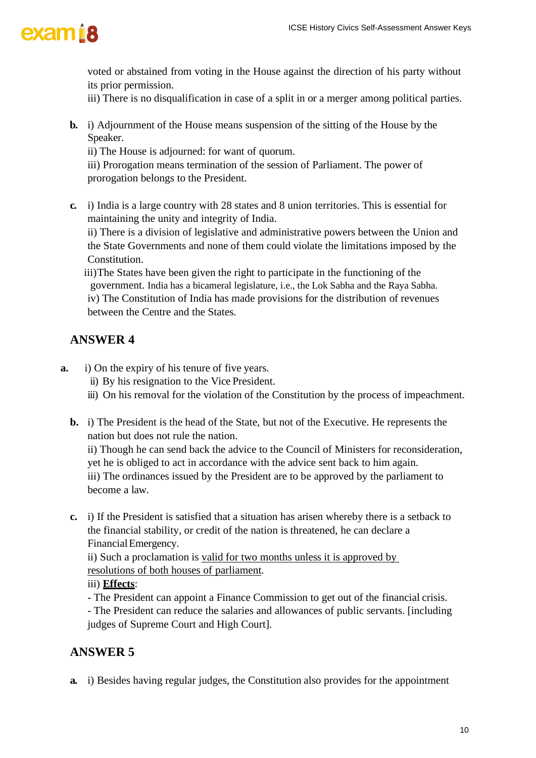

voted or abstained from voting in the House against the direction of his party without its prior permission.

iii) There is no disqualification in case of a split in or a merger among political parties.

**b.** i) Adjournment of the House means suspension of the sitting of the House by the Speaker.

ii) The House is adjourned: for want of quorum.

iii) Prorogation means termination of the session of Parliament. The power of prorogation belongs to the President.

**c.** i) India is a large country with 28 states and 8 union territories. This is essential for maintaining the unity and integrity of India.

ii) There is a division of legislative and administrative powers between the Union and the State Governments and none of them could violate the limitations imposed by the Constitution.

iii)The States have been given the right to participate in the functioning of the government. India has a bicameral legislature, i.e., the Lok Sabha and the Raya Sabha. iv) The Constitution of India has made provisions for the distribution of revenues between the Centre and the States.

### **ANSWER 4**

- **a.** i) On the expiry of his tenure of five years.
	- ii) By his resignation to the Vice President.
	- iii) On his removal for the violation of the Constitution by the process of impeachment.
	- **b.** i) The President is the head of the State, but not of the Executive. He represents the nation but does not rule the nation.

ii) Though he can send back the advice to the Council of Ministers for reconsideration, yet he is obliged to act in accordance with the advice sent back to him again. iii) The ordinances issued by the President are to be approved by the parliament to become a law.

**c.** i) If the President is satisfied that a situation has arisen whereby there is a setback to the financial stability, or credit of the nation is threatened, he can declare a FinancialEmergency.

ii) Such a proclamation is valid for two months unless it is approved by resolutions of both houses of parliament.

#### iii) **Effects**:

- The President can appoint a Finance Commission to get out of the financial crisis. - The President can reduce the salaries and allowances of public servants. [including judges of Supreme Court and High Court].

#### **ANSWER 5**

**a.** i) Besides having regular judges, the Constitution also provides for the appointment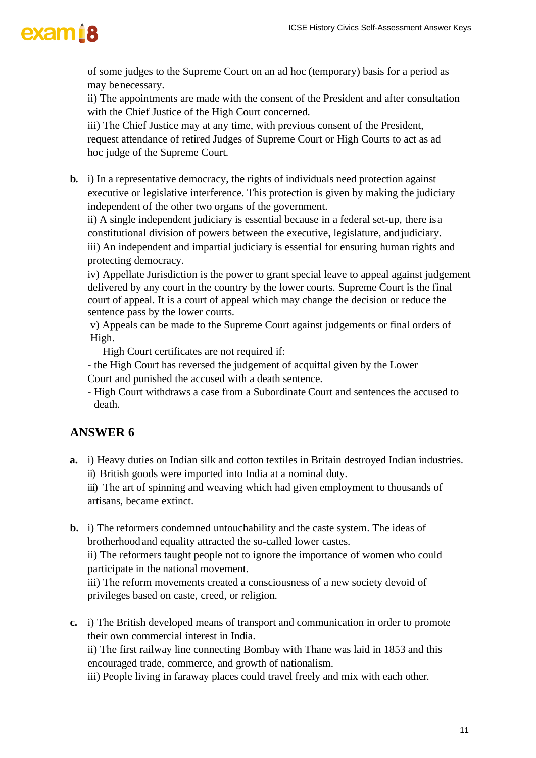of some judges to the Supreme Court on an ad hoc (temporary) basis for a period as may benecessary.

ii) The appointments are made with the consent of the President and after consultation with the Chief Justice of the High Court concerned.

iii) The Chief Justice may at any time, with previous consent of the President, request attendance of retired Judges of Supreme Court or High Courts to act as ad hoc judge of the Supreme Court.

**b.** i) In a representative democracy, the rights of individuals need protection against executive or legislative interference. This protection is given by making the judiciary independent of the other two organs of the government.

ii) A single independent judiciary is essential because in a federal set-up, there isa constitutional division of powers between the executive, legislature, andjudiciary. iii) An independent and impartial judiciary is essential for ensuring human rights and protecting democracy.

iv) Appellate Jurisdiction is the power to grant special leave to appeal against judgement delivered by any court in the country by the lower courts. Supreme Court is the final court of appeal. It is a court of appeal which may change the decision or reduce the sentence pass by the lower courts.

v) Appeals can be made to the Supreme Court against judgements or final orders of High.

High Court certificates are not required if:

- the High Court has reversed the judgement of acquittal given by the Lower
- Court and punished the accused with a death sentence.
- High Court withdraws a case from a Subordinate Court and sentences the accused to death.

#### **ANSWER 6**

**a.** i) Heavy duties on Indian silk and cotton textiles in Britain destroyed Indian industries. ii) British goods were imported into India at a nominal duty.

iii) The art of spinning and weaving which had given employment to thousands of artisans, became extinct.

**b.** i) The reformers condemned untouchability and the caste system. The ideas of brotherhoodand equality attracted the so-called lower castes.

ii) The reformers taught people not to ignore the importance of women who could participate in the national movement.

iii) The reform movements created a consciousness of a new society devoid of privileges based on caste, creed, or religion.

**c.** i) The British developed means of transport and communication in order to promote their own commercial interest in India.

ii) The first railway line connecting Bombay with Thane was laid in 1853 and this encouraged trade, commerce, and growth of nationalism.

iii) People living in faraway places could travel freely and mix with each other.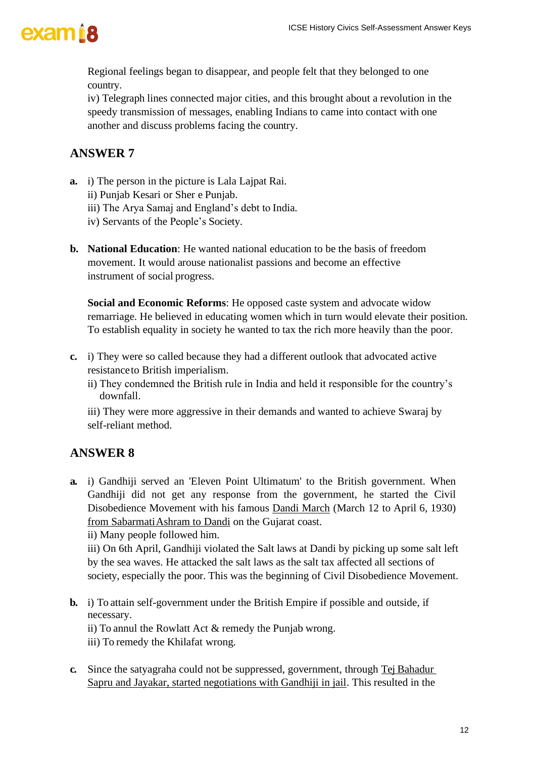

Regional feelings began to disappear, and people felt that they belonged to one country.

iv) Telegraph lines connected major cities, and this brought about a revolution in the speedy transmission of messages, enabling Indians to came into contact with one another and discuss problems facing the country.

#### **ANSWER 7**

- **a.** i) The person in the picture is Lala Lajpat Rai.
	- ii) Punjab Kesari or Sher e Punjab.
	- iii) The Arya Samaj and England's debt to India.
	- iv) Servants of the People's Society.
- **b. National Education**: He wanted national education to be the basis of freedom movement. It would arouse nationalist passions and become an effective instrument of social progress.

**Social and Economic Reforms**: He opposed caste system and advocate widow remarriage. He believed in educating women which in turn would elevate their position. To establish equality in society he wanted to tax the rich more heavily than the poor.

- **c.** i) They were so called because they had a different outlook that advocated active resistanceto British imperialism.
	- ii) They condemned the British rule in India and held it responsible for the country's downfall.

iii) They were more aggressive in their demands and wanted to achieve Swaraj by self-reliant method.

#### **ANSWER 8**

**a.** i) Gandhiji served an 'Eleven Point Ultimatum' to the British government. When Gandhiji did not get any response from the government, he started the Civil Disobedience Movement with his famous Dandi March (March 12 to April 6, 1930) from Sabarmati Ashram to Dandi on the Gujarat coast.

ii) Many people followed him.

iii) On 6th April, Gandhiji violated the Salt laws at Dandi by picking up some salt left by the sea waves. He attacked the salt laws as the salt tax affected all sections of society, especially the poor. This was the beginning of Civil Disobedience Movement.

- **b.** i) To attain self-government under the British Empire if possible and outside, if necessary. ii) To annul the Rowlatt Act & remedy the Punjab wrong.
	- iii) To remedy the Khilafat wrong.
- **c.** Since the satyagraha could not be suppressed, government, through Tej Bahadur Sapru and Jayakar, started negotiations with Gandhiji in jail. This resulted in the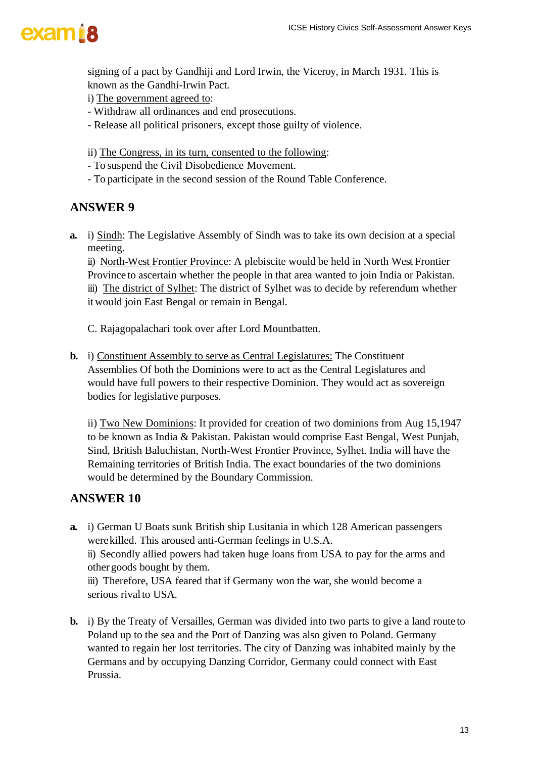

signing of a pact by Gandhiji and Lord Irwin, the Viceroy, in March 1931. This is known as the Gandhi-Irwin Pact.

i) The government agreed to:

- Withdraw all ordinances and end prosecutions.
- Release all political prisoners, except those guilty of violence.
- ii) The Congress, in its turn, consented to the following:
- To suspend the Civil Disobedience Movement.
- To participate in the second session of the Round Table Conference.

#### **ANSWER 9**

**a.** i) Sindh: The Legislative Assembly of Sindh was to take its own decision at a special meeting.

ii) North-West Frontier Province: A plebiscite would be held in North West Frontier Province to ascertain whether the people in that area wanted to join India or Pakistan. iii) The district of Sylhet: The district of Sylhet was to decide by referendum whether itwould join East Bengal or remain in Bengal.

C. Rajagopalachari took over after Lord Mountbatten.

**b.** i) Constituent Assembly to serve as Central Legislatures: The Constituent Assemblies Of both the Dominions were to act as the Central Legislatures and would have full powers to their respective Dominion. They would act as sovereign bodies for legislative purposes.

ii) Two New Dominions: It provided for creation of two dominions from Aug 15,1947 to be known as India & Pakistan. Pakistan would comprise East Bengal, West Punjab, Sind, British Baluchistan, North-West Frontier Province, Sylhet. India will have the Remaining territories of British India. The exact boundaries of the two dominions would be determined by the Boundary Commission.

- **a.** i) German U Boats sunk British ship Lusitania in which 128 American passengers werekilled. This aroused anti-German feelings in U.S.A. ii) Secondly allied powers had taken huge loans from USA to pay for the arms and other goods bought by them. iii) Therefore, USA feared that if Germany won the war, she would become a serious rival to USA.
- **b.** i) By the Treaty of Versailles, German was divided into two parts to give a land route to Poland up to the sea and the Port of Danzing was also given to Poland. Germany wanted to regain her lost territories. The city of Danzing was inhabited mainly by the Germans and by occupying Danzing Corridor, Germany could connect with East Prussia.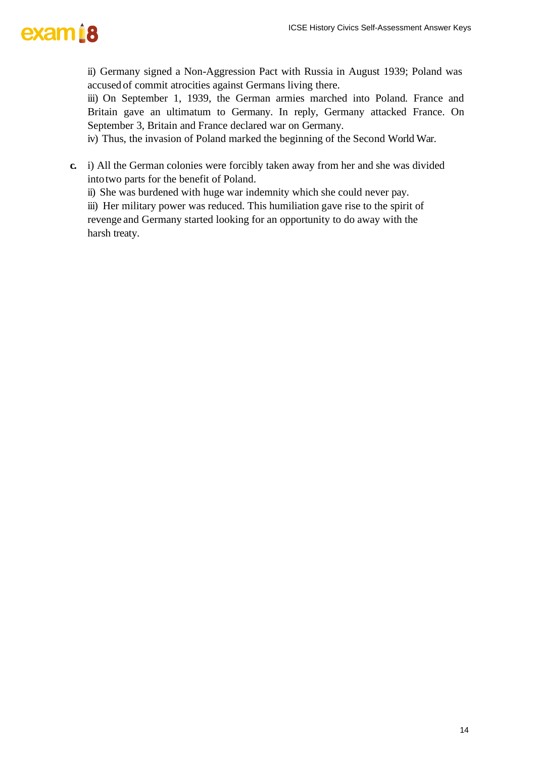

ii) Germany signed a Non-Aggression Pact with Russia in August 1939; Poland was accused of commit atrocities against Germans living there.

iii) On September 1, 1939, the German armies marched into Poland. France and Britain gave an ultimatum to Germany. In reply, Germany attacked France. On September 3, Britain and France declared war on Germany.

iv) Thus, the invasion of Poland marked the beginning of the Second World War.

**c.** i) All the German colonies were forcibly taken away from her and she was divided intotwo parts for the benefit of Poland.

ii) She was burdened with huge war indemnity which she could never pay.

iii) Her military power was reduced. This humiliation gave rise to the spirit of revenge and Germany started looking for an opportunity to do away with the harsh treaty.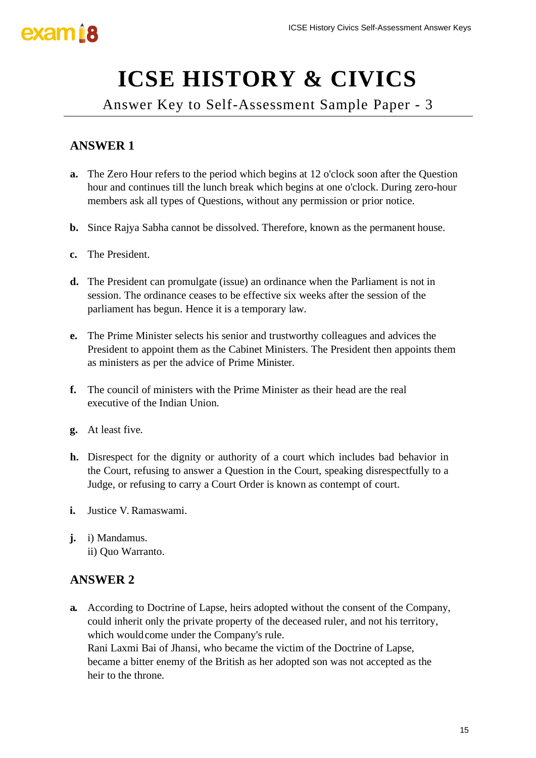# **ICSE HISTORY & CIVICS**

Answer Key to Self-Assessment Sample Paper - 3

## **ANSWER 1**

- **a.** The Zero Hour refers to the period which begins at 12 o'clock soon after the Question hour and continues till the lunch break which begins at one o'clock. During zero-hour members ask all types of Questions, without any permission or prior notice.
- **b.** Since Rajya Sabha cannot be dissolved. Therefore, known as the permanent house.
- **c.** The President.
- **d.** The President can promulgate (issue) an ordinance when the Parliament is not in session. The ordinance ceases to be effective six weeks after the session of the parliament has begun. Hence it is a temporary law.
- **e.** The Prime Minister selects his senior and trustworthy colleagues and advices the President to appoint them as the Cabinet Ministers. The President then appoints them as ministers as per the advice of Prime Minister.
- **f.** The council of ministers with the Prime Minister as their head are the real executive of the Indian Union.
- **g.** At least five.
- **h.** Disrespect for the dignity or authority of a court which includes bad behavior in the Court, refusing to answer a Question in the Court, speaking disrespectfully to a Judge, or refusing to carry a Court Order is known as contempt of court.
- **i.** Justice V. Ramaswami.
- **j.** i) Mandamus. ii) Quo Warranto.

#### **ANSWER 2**

**a.** According to Doctrine of Lapse, heirs adopted without the consent of the Company, could inherit only the private property of the deceased ruler, and not his territory, which wouldcome under the Company's rule. Rani Laxmi Bai of Jhansi, who became the victim of the Doctrine of Lapse, became a bitter enemy of the British as her adopted son was not accepted as the heir to the throne.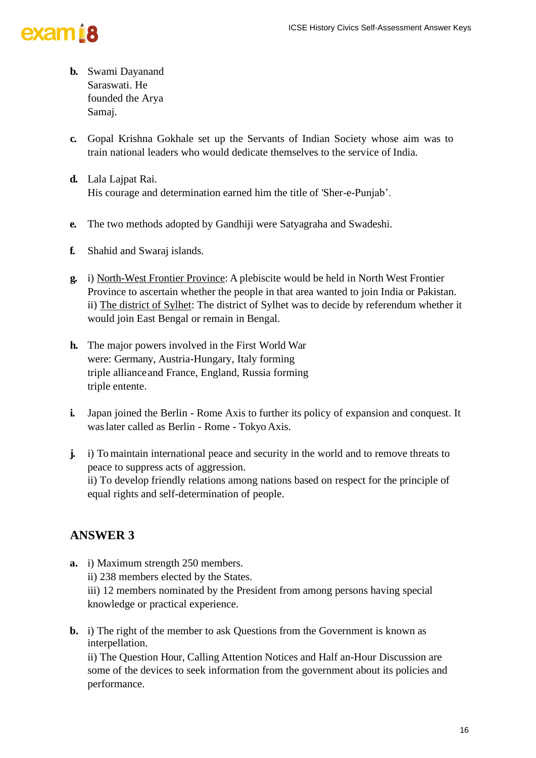

- **b.** Swami Dayanand Saraswati. He founded the Arya Samaj.
- **c.** Gopal Krishna Gokhale set up the Servants of Indian Society whose aim was to train national leaders who would dedicate themselves to the service of India.
- **d.** Lala Lajpat Rai. His courage and determination earned him the title of 'Sher-e-Punjab'.
- **e.** The two methods adopted by Gandhiji were Satyagraha and Swadeshi.
- **f.** Shahid and Swaraj islands.
- **g.** i) North-West Frontier Province: A plebiscite would be held in North West Frontier Province to ascertain whether the people in that area wanted to join India or Pakistan. ii) The district of Sylhet: The district of Sylhet was to decide by referendum whether it would join East Bengal or remain in Bengal.
- **h.** The major powers involved in the First World War were: Germany, Austria-Hungary, Italy forming triple allianceand France, England, Russia forming triple entente.
- **i.** Japan joined the Berlin Rome Axis to further its policy of expansion and conquest. It waslater called as Berlin - Rome - Tokyo Axis.
- **j.** i) To maintain international peace and security in the world and to remove threats to peace to suppress acts of aggression. ii) To develop friendly relations among nations based on respect for the principle of equal rights and self-determination of people.

#### **ANSWER 3**

- **a.** i) Maximum strength 250 members. ii) 238 members elected by the States. iii) 12 members nominated by the President from among persons having special knowledge or practical experience.
- **b.** i) The right of the member to ask Questions from the Government is known as interpellation.

ii) The Question Hour, Calling Attention Notices and Half an-Hour Discussion are some of the devices to seek information from the government about its policies and performance.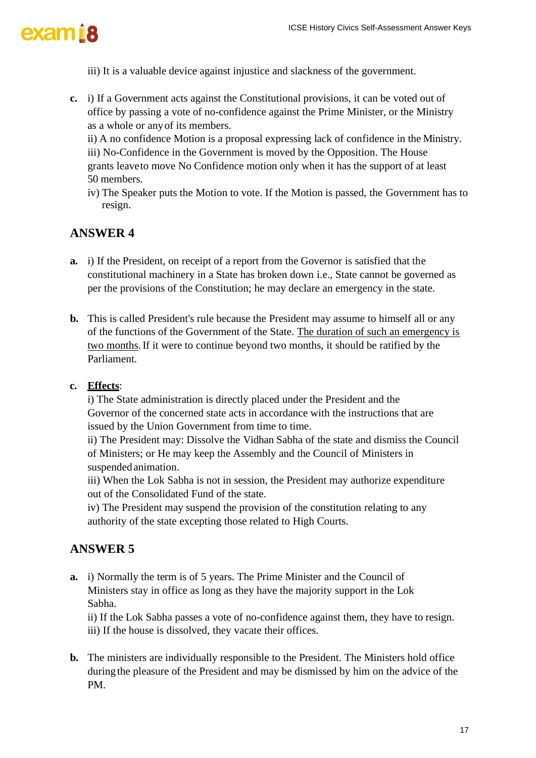

iii) It is a valuable device against injustice and slackness of the government.

**c.** i) If a Government acts against the Constitutional provisions, it can be voted out of office by passing a vote of no-confidence against the Prime Minister, or the Ministry as a whole or anyof its members.

ii) A no confidence Motion is a proposal expressing lack of confidence in the Ministry. iii) No-Confidence in the Government is moved by the Opposition. The House grants leaveto move No Confidence motion only when it has the support of at least 50 members.

iv) The Speaker puts the Motion to vote. If the Motion is passed, the Government has to resign.

#### **ANSWER 4**

- **a.** i) If the President, on receipt of a report from the Governor is satisfied that the constitutional machinery in a State has broken down i.e., State cannot be governed as per the provisions of the Constitution; he may declare an emergency in the state.
- **b.** This is called President's rule because the President may assume to himself all or any of the functions of the Government of the State. The duration of such an emergency is two months.If it were to continue beyond two months, it should be ratified by the Parliament.

#### **c. Effects**:

i) The State administration is directly placed under the President and the Governor of the concerned state acts in accordance with the instructions that are issued by the Union Government from time to time.

ii) The President may: Dissolve the Vidhan Sabha of the state and dismiss the Council of Ministers; or He may keep the Assembly and the Council of Ministers in suspended animation.

iii) When the Lok Sabha is not in session, the President may authorize expenditure out of the Consolidated Fund of the state.

iv) The President may suspend the provision of the constitution relating to any authority of the state excepting those related to High Courts.

#### **ANSWER 5**

**a.** i) Normally the term is of 5 years. The Prime Minister and the Council of Ministers stay in office as long as they have the majority support in the Lok Sabha.

ii) If the Lok Sabha passes a vote of no-confidence against them, they have to resign. iii) If the house is dissolved, they vacate their offices.

**b.** The ministers are individually responsible to the President. The Ministers hold office duringthe pleasure of the President and may be dismissed by him on the advice of the PM.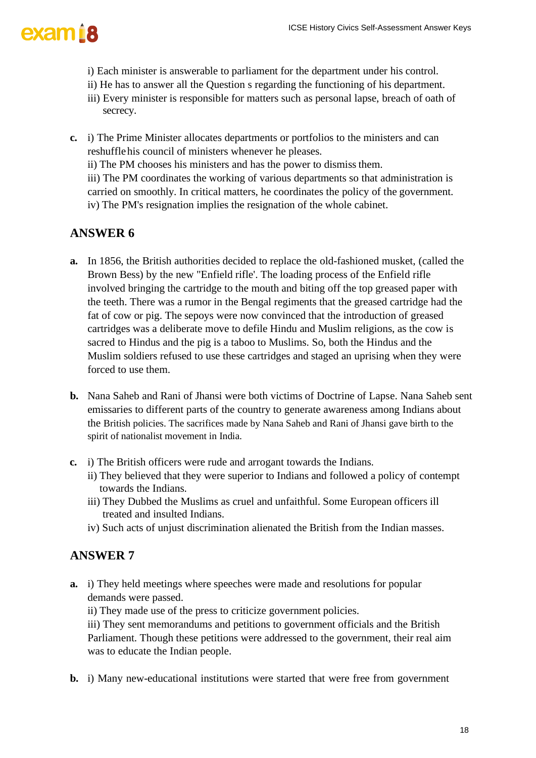- i) Each minister is answerable to parliament for the department under his control.
- ii) He has to answer all the Question s regarding the functioning of his department.
- iii) Every minister is responsible for matters such as personal lapse, breach of oath of secrecy.
- **c.** i) The Prime Minister allocates departments or portfolios to the ministers and can reshufflehis council of ministers whenever he pleases.
	- ii) The PM chooses his ministers and has the power to dismiss them.

iii) The PM coordinates the working of various departments so that administration is carried on smoothly. In critical matters, he coordinates the policy of the government. iv) The PM's resignation implies the resignation of the whole cabinet.

### **ANSWER 6**

- **a.** In 1856, the British authorities decided to replace the old-fashioned musket, (called the Brown Bess) by the new "Enfield rifle'. The loading process of the Enfield rifle involved bringing the cartridge to the mouth and biting off the top greased paper with the teeth. There was a rumor in the Bengal regiments that the greased cartridge had the fat of cow or pig. The sepoys were now convinced that the introduction of greased cartridges was a deliberate move to defile Hindu and Muslim religions, as the cow is sacred to Hindus and the pig is a taboo to Muslims. So, both the Hindus and the Muslim soldiers refused to use these cartridges and staged an uprising when they were forced to use them.
- **b.** Nana Saheb and Rani of Jhansi were both victims of Doctrine of Lapse. Nana Saheb sent emissaries to different parts of the country to generate awareness among Indians about the British policies. The sacrifices made by Nana Saheb and Rani of Jhansi gave birth to the spirit of nationalist movement in India.
- **c.** i) The British officers were rude and arrogant towards the Indians.
	- ii) They believed that they were superior to Indians and followed a policy of contempt towards the Indians.
	- iii) They Dubbed the Muslims as cruel and unfaithful. Some European officers ill treated and insulted Indians.
	- iv) Such acts of unjust discrimination alienated the British from the Indian masses.

#### **ANSWER 7**

- **a.** i) They held meetings where speeches were made and resolutions for popular demands were passed.
	- ii) They made use of the press to criticize government policies.

iii) They sent memorandums and petitions to government officials and the British Parliament. Though these petitions were addressed to the government, their real aim was to educate the Indian people.

**b.** i) Many new-educational institutions were started that were free from government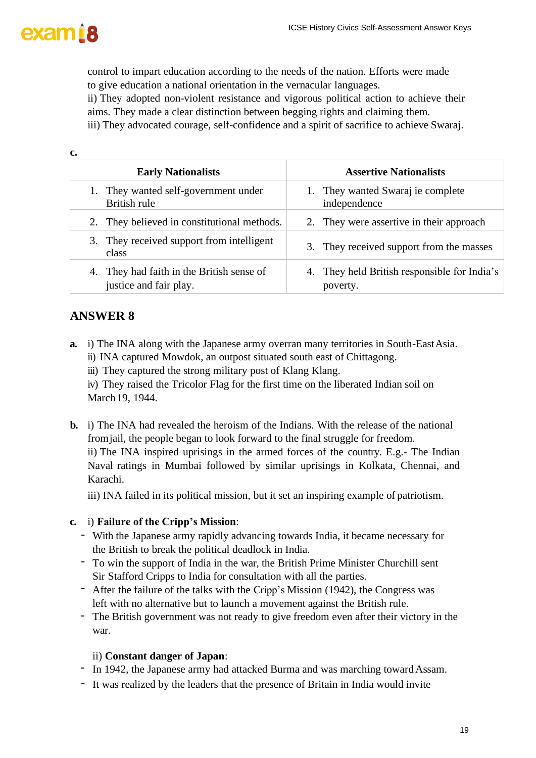

control to impart education according to the needs of the nation. Efforts were made to give education a national orientation in the vernacular languages.

ii) They adopted non-violent resistance and vigorous political action to achieve their aims. They made a clear distinction between begging rights and claiming them.

iii) They advocated courage, self-confidence and a spirit of sacrifice to achieve Swaraj.

| c.                                                                     |                                                          |
|------------------------------------------------------------------------|----------------------------------------------------------|
| <b>Early Nationalists</b>                                              | <b>Assertive Nationalists</b>                            |
| They wanted self-government under<br>British rule                      | 1. They wanted Swaraj ie complete<br>independence        |
| 2. They believed in constitutional methods.                            | 2. They were assertive in their approach                 |
| 3. They received support from intelligent<br>class                     | 3. They received support from the masses                 |
| They had faith in the British sense of<br>4.<br>justice and fair play. | 4. They held British responsible for India's<br>poverty. |

#### **ANSWER 8**

- **a.** i) The INA along with the Japanese army overran many territories in South-EastAsia. ii) INA captured Mowdok, an outpost situated south east of Chittagong.
	- iii) They captured the strong military post of Klang Klang.

iv) They raised the Tricolor Flag for the first time on the liberated Indian soil on March19, 1944.

**b.** i) The INA had revealed the heroism of the Indians. With the release of the national fromjail, the people began to look forward to the final struggle for freedom. ii) The INA inspired uprisings in the armed forces of the country. E.g.- The Indian

Naval ratings in Mumbai followed by similar uprisings in Kolkata, Chennai, and Karachi.

iii) INA failed in its political mission, but it set an inspiring example of patriotism.

#### **c.** i) **Failure of the Cripp's Mission**:

- With the Japanese army rapidly advancing towards India, it became necessary for the British to break the political deadlock in India.
- To win the support of India in the war, the British Prime Minister Churchill sent Sir Stafford Cripps to India for consultation with all the parties.
- After the failure of the talks with the Cripp's Mission (1942), the Congress was left with no alternative but to launch a movement against the British rule.
- The British government was not ready to give freedom even after their victory in the war.

#### ii) **Constant danger of Japan**:

- In 1942, the Japanese army had attacked Burma and was marching toward Assam.
- It was realized by the leaders that the presence of Britain in India would invite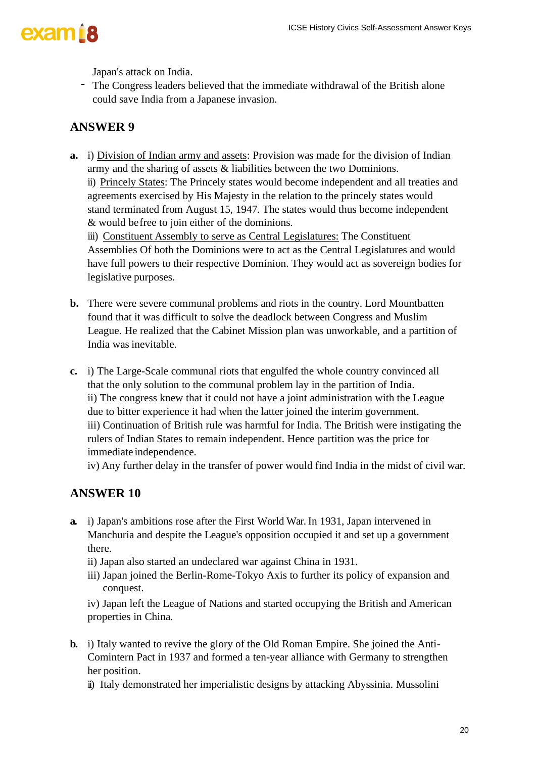

Japan's attack on India.

- The Congress leaders believed that the immediate withdrawal of the British alone could save India from a Japanese invasion.

### **ANSWER 9**

**a.** i) Division of Indian army and assets: Provision was made for the division of Indian army and the sharing of assets & liabilities between the two Dominions. ii) Princely States: The Princely states would become independent and all treaties and agreements exercised by His Majesty in the relation to the princely states would stand terminated from August 15, 1947. The states would thus become independent & would befree to join either of the dominions. iii) Constituent Assembly to serve as Central Legislatures: The Constituent

Assemblies Of both the Dominions were to act as the Central Legislatures and would have full powers to their respective Dominion. They would act as sovereign bodies for legislative purposes.

- **b.** There were severe communal problems and riots in the country. Lord Mountbatten found that it was difficult to solve the deadlock between Congress and Muslim League. He realized that the Cabinet Mission plan was unworkable, and a partition of India was inevitable.
- **c.** i) The Large-Scale communal riots that engulfed the whole country convinced all that the only solution to the communal problem lay in the partition of India. ii) The congress knew that it could not have a joint administration with the League due to bitter experience it had when the latter joined the interim government. iii) Continuation of British rule was harmful for India. The British were instigating the rulers of Indian States to remain independent. Hence partition was the price for immediate independence.

iv) Any further delay in the transfer of power would find India in the midst of civil war.

#### **ANSWER 10**

- **a.** i) Japan's ambitions rose after the First World War. In 1931, Japan intervened in Manchuria and despite the League's opposition occupied it and set up a government there.
	- ii) Japan also started an undeclared war against China in 1931.
	- iii) Japan joined the Berlin-Rome-Tokyo Axis to further its policy of expansion and conquest.

iv) Japan left the League of Nations and started occupying the British and American properties in China.

- **b.** i) Italy wanted to revive the glory of the Old Roman Empire. She joined the Anti-Comintern Pact in 1937 and formed a ten-year alliance with Germany to strengthen her position.
	- ii) Italy demonstrated her imperialistic designs by attacking Abyssinia. Mussolini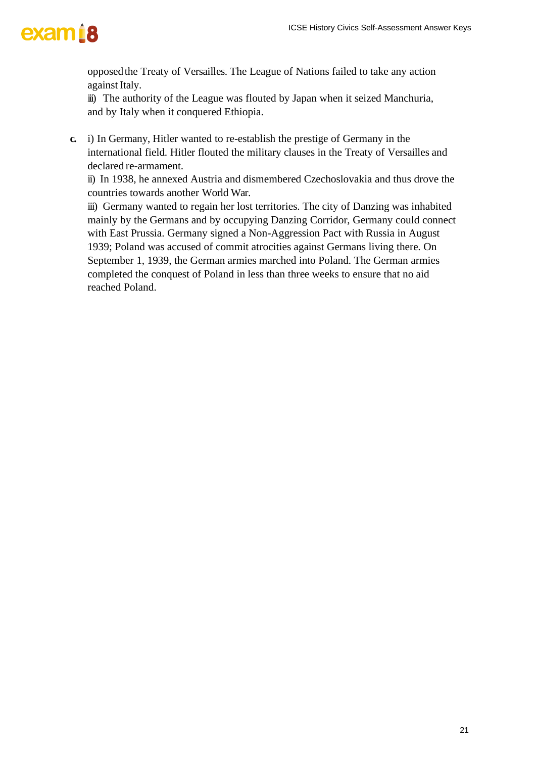opposedthe Treaty of Versailles. The League of Nations failed to take any action against Italy.

iii) The authority of the League was flouted by Japan when it seized Manchuria, and by Italy when it conquered Ethiopia.

**c.** i) In Germany, Hitler wanted to re-establish the prestige of Germany in the international field. Hitler flouted the military clauses in the Treaty of Versailles and declared re-armament.

ii) In 1938, he annexed Austria and dismembered Czechoslovakia and thus drove the countries towards another World War.

iii) Germany wanted to regain her lost territories. The city of Danzing was inhabited mainly by the Germans and by occupying Danzing Corridor, Germany could connect with East Prussia. Germany signed a Non-Aggression Pact with Russia in August 1939; Poland was accused of commit atrocities against Germans living there. On September 1, 1939, the German armies marched into Poland. The German armies completed the conquest of Poland in less than three weeks to ensure that no aid reached Poland.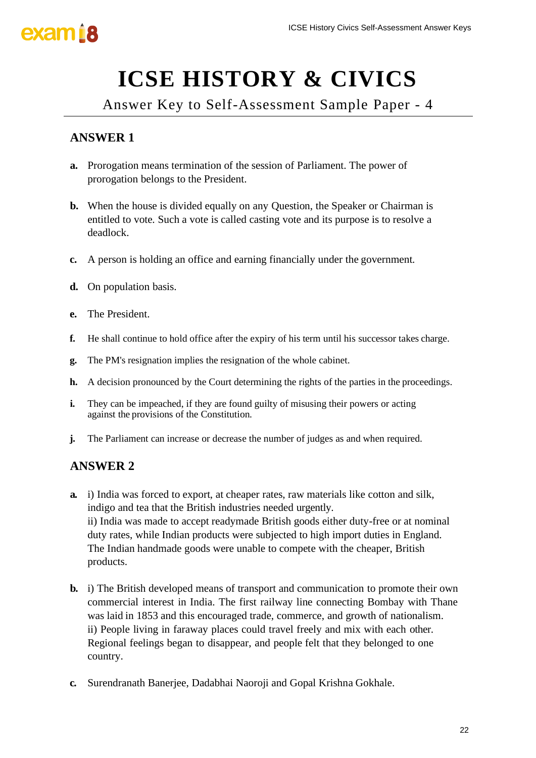

# **ICSE HISTORY & CIVICS**

Answer Key to Self-Assessment Sample Paper - 4

### **ANSWER 1**

- **a.** Prorogation means termination of the session of Parliament. The power of prorogation belongs to the President.
- **b.** When the house is divided equally on any Question, the Speaker or Chairman is entitled to vote. Such a vote is called casting vote and its purpose is to resolve a deadlock.
- **c.** A person is holding an office and earning financially under the government.
- **d.** On population basis.
- **e.** The President.
- **f.** He shall continue to hold office after the expiry of his term until his successor takes charge.
- **g.** The PM's resignation implies the resignation of the whole cabinet.
- **h.** A decision pronounced by the Court determining the rights of the parties in the proceedings.
- **i.** They can be impeached, if they are found guilty of misusing their powers or acting against the provisions of the Constitution.
- **j.** The Parliament can increase or decrease the number of judges as and when required.

- **a.** i) India was forced to export, at cheaper rates, raw materials like cotton and silk, indigo and tea that the British industries needed urgently. ii) India was made to accept readymade British goods either duty-free or at nominal duty rates, while Indian products were subjected to high import duties in England. The Indian handmade goods were unable to compete with the cheaper, British products.
- **b.** i) The British developed means of transport and communication to promote their own commercial interest in India. The first railway line connecting Bombay with Thane was laid in 1853 and this encouraged trade, commerce, and growth of nationalism. ii) People living in faraway places could travel freely and mix with each other. Regional feelings began to disappear, and people felt that they belonged to one country.
- **c.** Surendranath Banerjee, Dadabhai Naoroji and Gopal Krishna Gokhale.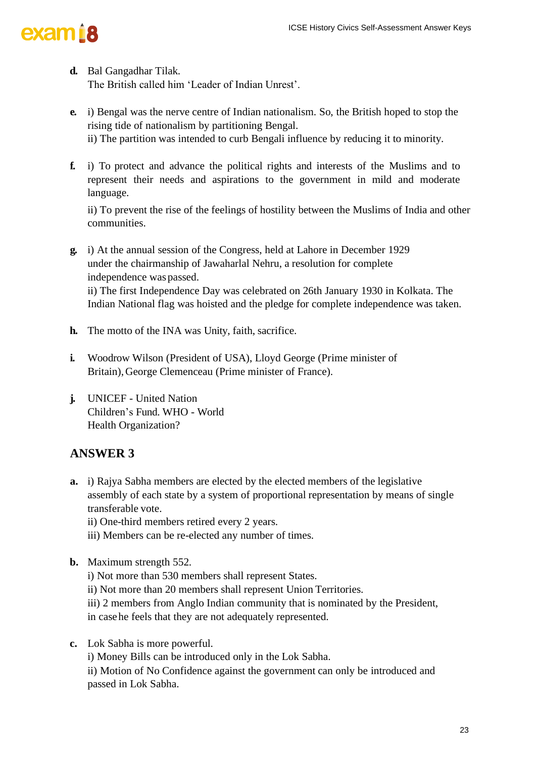- **d.** Bal Gangadhar Tilak. The British called him 'Leader of Indian Unrest'.
- **e.** i) Bengal was the nerve centre of Indian nationalism. So, the British hoped to stop the rising tide of nationalism by partitioning Bengal. ii) The partition was intended to curb Bengali influence by reducing it to minority.
- **f.** i) To protect and advance the political rights and interests of the Muslims and to represent their needs and aspirations to the government in mild and moderate language.

ii) To prevent the rise of the feelings of hostility between the Muslims of India and other communities.

- **g.** i) At the annual session of the Congress, held at Lahore in December 1929 under the chairmanship of Jawaharlal Nehru, a resolution for complete independence was passed. ii) The first Independence Day was celebrated on 26th January 1930 in Kolkata. The Indian National flag was hoisted and the pledge for complete independence was taken.
- **h.** The motto of the INA was Unity, faith, sacrifice.
- **i.** Woodrow Wilson (President of USA), Lloyd George (Prime minister of Britain),George Clemenceau (Prime minister of France).
- **j.** UNICEF United Nation Children's Fund. WHO - World Health Organization?

### **ANSWER 3**

- **a.** i) Rajya Sabha members are elected by the elected members of the legislative assembly of each state by a system of proportional representation by means of single transferable vote.
	- ii) One-third members retired every 2 years.
	- iii) Members can be re-elected any number of times.
- **b.** Maximum strength 552.
	- i) Not more than 530 members shall represent States.
	- ii) Not more than 20 members shall represent Union Territories.
	- iii) 2 members from Anglo Indian community that is nominated by the President,

in casehe feels that they are not adequately represented.

**c.** Lok Sabha is more powerful.

i) Money Bills can be introduced only in the Lok Sabha.

ii) Motion of No Confidence against the government can only be introduced and passed in Lok Sabha.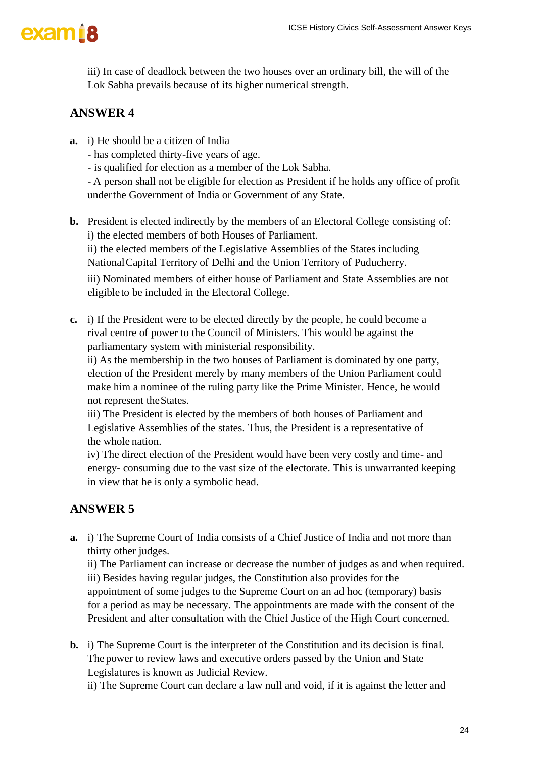iii) In case of deadlock between the two houses over an ordinary bill, the will of the Lok Sabha prevails because of its higher numerical strength.

### **ANSWER 4**

- **a.** i) He should be a citizen of India
	- has completed thirty-five years of age.
	- is qualified for election as a member of the Lok Sabha.

- A person shall not be eligible for election as President if he holds any office of profit underthe Government of India or Government of any State.

**b.** President is elected indirectly by the members of an Electoral College consisting of: i) the elected members of both Houses of Parliament.

ii) the elected members of the Legislative Assemblies of the States including NationalCapital Territory of Delhi and the Union Territory of Puducherry.

iii) Nominated members of either house of Parliament and State Assemblies are not eligibleto be included in the Electoral College.

**c.** i) If the President were to be elected directly by the people, he could become a rival centre of power to the Council of Ministers. This would be against the parliamentary system with ministerial responsibility.

ii) As the membership in the two houses of Parliament is dominated by one party, election of the President merely by many members of the Union Parliament could make him a nominee of the ruling party like the Prime Minister. Hence, he would not represent theStates.

iii) The President is elected by the members of both houses of Parliament and Legislative Assemblies of the states. Thus, the President is a representative of the whole nation.

iv) The direct election of the President would have been very costly and time- and energy- consuming due to the vast size of the electorate. This is unwarranted keeping in view that he is only a symbolic head.

## **ANSWER 5**

**a.** i) The Supreme Court of India consists of a Chief Justice of India and not more than thirty other judges.

ii) The Parliament can increase or decrease the number of judges as and when required. iii) Besides having regular judges, the Constitution also provides for the appointment of some judges to the Supreme Court on an ad hoc (temporary) basis for a period as may be necessary. The appointments are made with the consent of the President and after consultation with the Chief Justice of the High Court concerned.

**b.** i) The Supreme Court is the interpreter of the Constitution and its decision is final. The power to review laws and executive orders passed by the Union and State Legislatures is known as Judicial Review.

ii) The Supreme Court can declare a law null and void, if it is against the letter and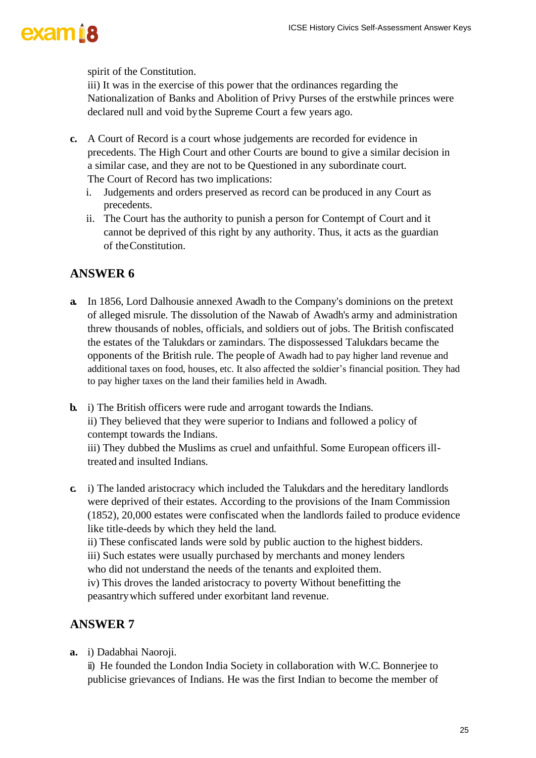spirit of the Constitution.

iii) It was in the exercise of this power that the ordinances regarding the Nationalization of Banks and Abolition of Privy Purses of the erstwhile princes were declared null and void bythe Supreme Court a few years ago.

- **c.** A Court of Record is a court whose judgements are recorded for evidence in precedents. The High Court and other Courts are bound to give a similar decision in a similar case, and they are not to be Questioned in any subordinate court. The Court of Record has two implications:
	- i. Judgements and orders preserved as record can be produced in any Court as precedents.
	- ii. The Court has the authority to punish a person for Contempt of Court and it cannot be deprived of this right by any authority. Thus, it acts as the guardian of theConstitution.

#### **ANSWER 6**

- **a.** In 1856, Lord Dalhousie annexed Awadh to the Company's dominions on the pretext of alleged misrule. The dissolution of the Nawab of Awadh's army and administration threw thousands of nobles, officials, and soldiers out of jobs. The British confiscated the estates of the Talukdars or zamindars. The dispossessed Talukdars became the opponents of the British rule. The people of Awadh had to pay higher land revenue and additional taxes on food, houses, etc. It also affected the soldier's financial position. They had to pay higher taxes on the land their families held in Awadh.
- **b.** i) The British officers were rude and arrogant towards the Indians. ii) They believed that they were superior to Indians and followed a policy of contempt towards the Indians. iii) They dubbed the Muslims as cruel and unfaithful. Some European officers ill-
- treated and insulted Indians. **c.** i) The landed aristocracy which included the Talukdars and the hereditary landlords
- were deprived of their estates. According to the provisions of the Inam Commission (1852), 20,000 estates were confiscated when the landlords failed to produce evidence like title-deeds by which they held the land.
	- ii) These confiscated lands were sold by public auction to the highest bidders.
	- iii) Such estates were usually purchased by merchants and money lenders
	- who did not understand the needs of the tenants and exploited them.

iv) This droves the landed aristocracy to poverty Without benefitting the peasantrywhich suffered under exorbitant land revenue.

#### **ANSWER 7**

**a.** i) Dadabhai Naoroji.

ii) He founded the London India Society in collaboration with W.C. Bonnerjee to publicise grievances of Indians. He was the first Indian to become the member of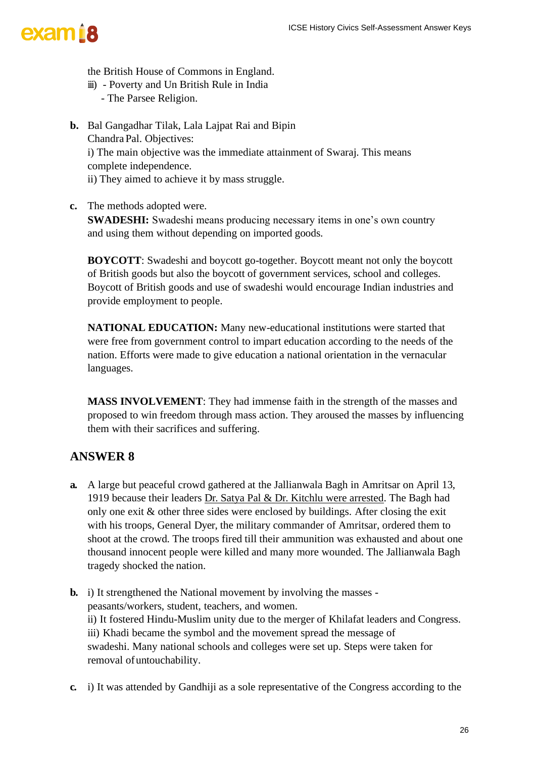

the British House of Commons in England.

- iii) Poverty and Un British Rule in India
	- The Parsee Religion.
- **b.** Bal Gangadhar Tilak, Lala Lajpat Rai and Bipin ChandraPal. Objectives: i) The main objective was the immediate attainment of Swaraj. This means complete independence. ii) They aimed to achieve it by mass struggle.
- **c.** The methods adopted were.

**SWADESHI:** Swadeshi means producing necessary items in one's own country and using them without depending on imported goods.

**BOYCOTT**: Swadeshi and boycott go-together. Boycott meant not only the boycott of British goods but also the boycott of government services, school and colleges. Boycott of British goods and use of swadeshi would encourage Indian industries and provide employment to people.

**NATIONAL EDUCATION:** Many new-educational institutions were started that were free from government control to impart education according to the needs of the nation. Efforts were made to give education a national orientation in the vernacular languages.

**MASS INVOLVEMENT**: They had immense faith in the strength of the masses and proposed to win freedom through mass action. They aroused the masses by influencing them with their sacrifices and suffering.

- **a.** A large but peaceful crowd gathered at the Jallianwala Bagh in Amritsar on April 13, 1919 because their leaders Dr. Satya Pal & Dr. Kitchlu were arrested. The Bagh had only one exit  $\&$  other three sides were enclosed by buildings. After closing the exit with his troops, General Dyer, the military commander of Amritsar, ordered them to shoot at the crowd. The troops fired till their ammunition was exhausted and about one thousand innocent people were killed and many more wounded. The Jallianwala Bagh tragedy shocked the nation.
- **b.** i) It strengthened the National movement by involving the masses peasants/workers, student, teachers, and women. ii) It fostered Hindu-Muslim unity due to the merger of Khilafat leaders and Congress. iii) Khadi became the symbol and the movement spread the message of swadeshi. Many national schools and colleges were set up. Steps were taken for removal of untouchability.
- **c.** i) It was attended by Gandhiji as a sole representative of the Congress according to the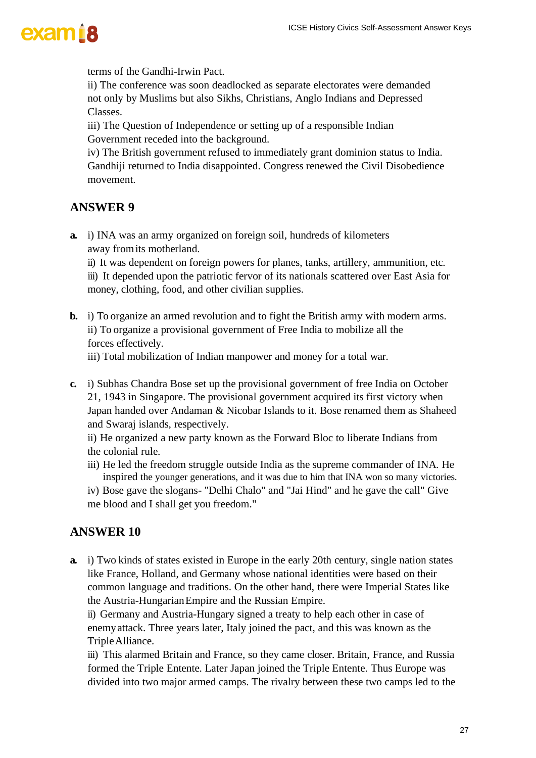terms of the Gandhi-Irwin Pact.

ii) The conference was soon deadlocked as separate electorates were demanded not only by Muslims but also Sikhs, Christians, Anglo Indians and Depressed Classes.

iii) The Question of Independence or setting up of a responsible Indian Government receded into the background.

iv) The British government refused to immediately grant dominion status to India. Gandhiji returned to India disappointed. Congress renewed the Civil Disobedience movement.

#### **ANSWER 9**

**a.** i) INA was an army organized on foreign soil, hundreds of kilometers away fromits motherland.

ii) It was dependent on foreign powers for planes, tanks, artillery, ammunition, etc.

iii) It depended upon the patriotic fervor of its nationals scattered over East Asia for money, clothing, food, and other civilian supplies.

**b.** i) To organize an armed revolution and to fight the British army with modern arms. ii) To organize a provisional government of Free India to mobilize all the forces effectively.

iii) Total mobilization of Indian manpower and money for a total war.

**c.** i) Subhas Chandra Bose set up the provisional government of free India on October 21, 1943 in Singapore. The provisional government acquired its first victory when Japan handed over Andaman & Nicobar Islands to it. Bose renamed them as Shaheed and Swaraj islands, respectively.

ii) He organized a new party known as the Forward Bloc to liberate Indians from the colonial rule.

- iii) He led the freedom struggle outside India as the supreme commander of INA. He inspired the younger generations, and it was due to him that INA won so many victories.
- iv) Bose gave the slogans- "Delhi Chalo" and "Jai Hind" and he gave the call" Give me blood and I shall get you freedom."

#### **ANSWER 10**

**a.** i) Two kinds of states existed in Europe in the early 20th century, single nation states like France, Holland, and Germany whose national identities were based on their common language and traditions. On the other hand, there were Imperial States like the Austria-HungarianEmpire and the Russian Empire.

ii) Germany and Austria-Hungary signed a treaty to help each other in case of enemyattack. Three years later, Italy joined the pact, and this was known as the TripleAlliance.

iii) This alarmed Britain and France, so they came closer. Britain, France, and Russia formed the Triple Entente. Later Japan joined the Triple Entente. Thus Europe was divided into two major armed camps. The rivalry between these two camps led to the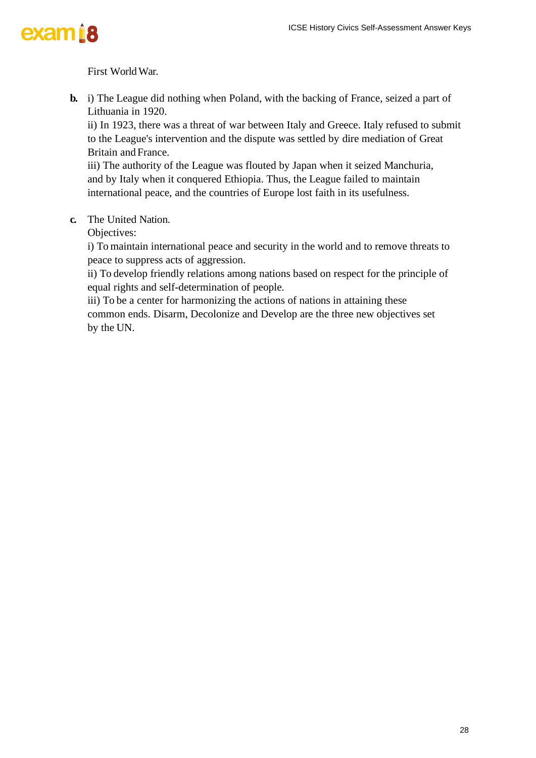## exam<sup>18</sup>

First WorldWar.

**b.** i) The League did nothing when Poland, with the backing of France, seized a part of Lithuania in 1920.

ii) In 1923, there was a threat of war between Italy and Greece. Italy refused to submit to the League's intervention and the dispute was settled by dire mediation of Great Britain and France.

iii) The authority of the League was flouted by Japan when it seized Manchuria, and by Italy when it conquered Ethiopia. Thus, the League failed to maintain international peace, and the countries of Europe lost faith in its usefulness.

**c.** The United Nation.

Objectives:

i) To maintain international peace and security in the world and to remove threats to peace to suppress acts of aggression.

ii) To develop friendly relations among nations based on respect for the principle of equal rights and self-determination of people.

iii) To be a center for harmonizing the actions of nations in attaining these common ends. Disarm, Decolonize and Develop are the three new objectives set by the UN.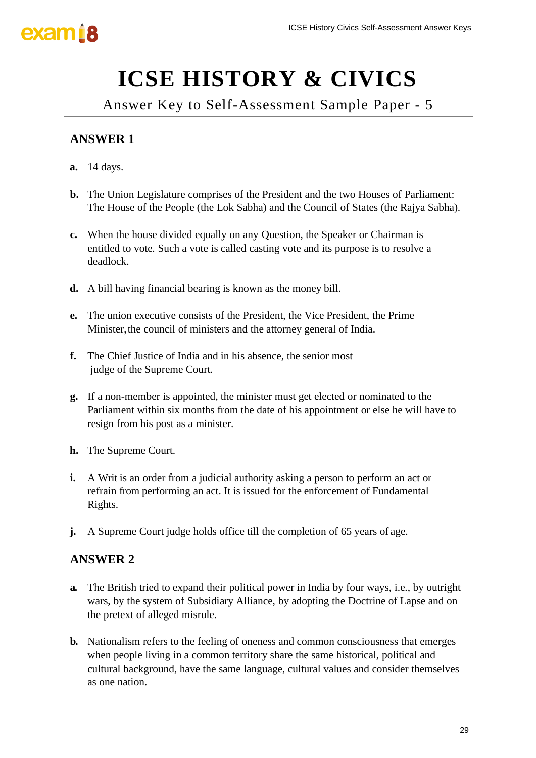

# **ICSE HISTORY & CIVICS**

Answer Key to Self-Assessment Sample Paper - 5

### **ANSWER 1**

- **a.** 14 days.
- **b.** The Union Legislature comprises of the President and the two Houses of Parliament: The House of the People (the Lok Sabha) and the Council of States (the Rajya Sabha).
- **c.** When the house divided equally on any Question, the Speaker or Chairman is entitled to vote. Such a vote is called casting vote and its purpose is to resolve a deadlock.
- **d.** A bill having financial bearing is known as the money bill.
- **e.** The union executive consists of the President, the Vice President, the Prime Minister, the council of ministers and the attorney general of India.
- **f.** The Chief Justice of India and in his absence, the senior most judge of the Supreme Court.
- **g.** If a non-member is appointed, the minister must get elected or nominated to the Parliament within six months from the date of his appointment or else he will have to resign from his post as a minister.
- **h.** The Supreme Court.
- **i.** A Writ is an order from a judicial authority asking a person to perform an act or refrain from performing an act. It is issued for the enforcement of Fundamental Rights.
- **j.** A Supreme Court judge holds office till the completion of 65 years of age.

- **a.** The British tried to expand their political power in India by four ways, i.e., by outright wars, by the system of Subsidiary Alliance, by adopting the Doctrine of Lapse and on the pretext of alleged misrule.
- **b.** Nationalism refers to the feeling of oneness and common consciousness that emerges when people living in a common territory share the same historical, political and cultural background, have the same language, cultural values and consider themselves as one nation.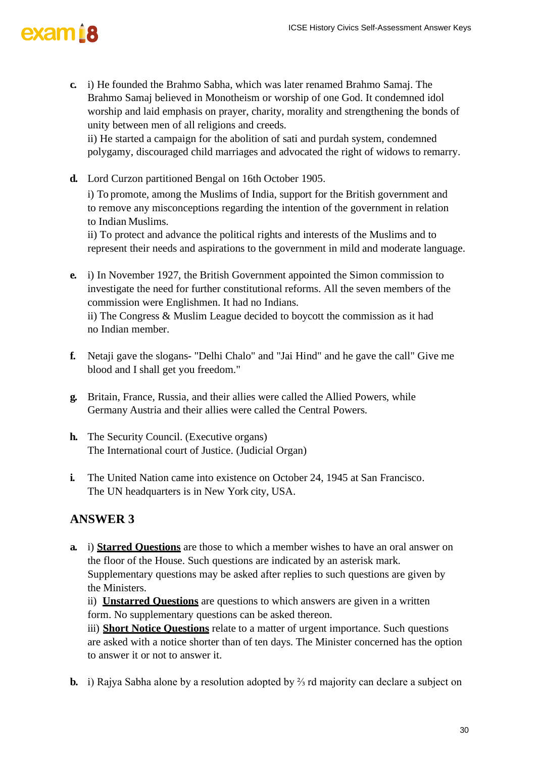**c.** i) He founded the Brahmo Sabha, which was later renamed Brahmo Samaj. The Brahmo Samaj believed in Monotheism or worship of one God. It condemned idol worship and laid emphasis on prayer, charity, morality and strengthening the bonds of unity between men of all religions and creeds.

ii) He started a campaign for the abolition of sati and purdah system, condemned polygamy, discouraged child marriages and advocated the right of widows to remarry.

**d.** Lord Curzon partitioned Bengal on 16th October 1905.

i) To promote, among the Muslims of India, support for the British government and to remove any misconceptions regarding the intention of the government in relation to Indian Muslims.

ii) To protect and advance the political rights and interests of the Muslims and to represent their needs and aspirations to the government in mild and moderate language.

**e.** i) In November 1927, the British Government appointed the Simon commission to investigate the need for further constitutional reforms. All the seven members of the commission were Englishmen. It had no Indians. ii) The Congress & Muslim League decided to boycott the commission as it had no Indian member.

- **f.** Netaji gave the slogans- "Delhi Chalo" and "Jai Hind" and he gave the call" Give me blood and I shall get you freedom."
- **g.** Britain, France, Russia, and their allies were called the Allied Powers, while Germany Austria and their allies were called the Central Powers.
- **h.** The Security Council. (Executive organs) The International court of Justice. (Judicial Organ)
- **i.** The United Nation came into existence on October 24, 1945 at San Francisco. The UN headquarters is in New York city, USA.

### **ANSWER 3**

**a.** i) **Starred Questions** are those to which a member wishes to have an oral answer on the floor of the House. Such questions are indicated by an asterisk mark. Supplementary questions may be asked after replies to such questions are given by the Ministers.

ii) **Unstarred Questions** are questions to which answers are given in a written form. No supplementary questions can be asked thereon.

iii) **Short Notice Questions** relate to a matter of urgent importance. Such questions are asked with a notice shorter than of ten days. The Minister concerned has the option to answer it or not to answer it.

**b.** i) Rajya Sabha alone by a resolution adopted by <sup>2</sup>⁄<sub>2</sub> rd majority can declare a subject on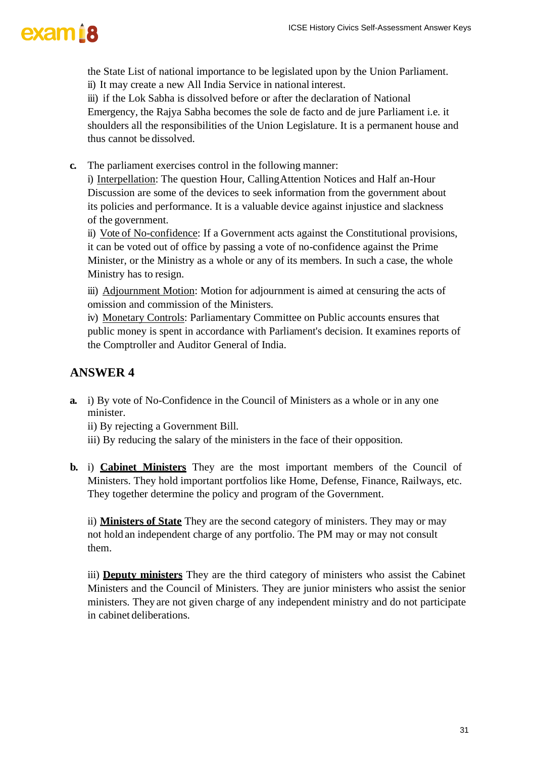the State List of national importance to be legislated upon by the Union Parliament. ii) It may create a new All India Service in national interest.

iii) if the Lok Sabha is dissolved before or after the declaration of National Emergency, the Rajya Sabha becomes the sole de facto and de jure Parliament i.e. it shoulders all the responsibilities of the Union Legislature. It is a permanent house and thus cannot be dissolved.

**c.** The parliament exercises control in the following manner:

i) Interpellation: The question Hour, CallingAttention Notices and Half an-Hour Discussion are some of the devices to seek information from the government about its policies and performance. It is a valuable device against injustice and slackness of the government.

ii) Vote of No-confidence: If a Government acts against the Constitutional provisions, it can be voted out of office by passing a vote of no-confidence against the Prime Minister, or the Ministry as a whole or any of its members. In such a case, the whole Ministry has to resign.

iii) Adjournment Motion: Motion for adjournment is aimed at censuring the acts of omission and commission of the Ministers.

iv) Monetary Controls: Parliamentary Committee on Public accounts ensures that public money is spent in accordance with Parliament's decision. It examines reports of the Comptroller and Auditor General of India.

### **ANSWER 4**

**a.** i) By vote of No-Confidence in the Council of Ministers as a whole or in any one minister.

ii) By rejecting a Government Bill.

- iii) By reducing the salary of the ministers in the face of their opposition.
- **b.** i) **Cabinet Ministers** They are the most important members of the Council of Ministers. They hold important portfolios like Home, Defense, Finance, Railways, etc. They together determine the policy and program of the Government.

ii) **Ministers of State** They are the second category of ministers. They may or may not hold an independent charge of any portfolio. The PM may or may not consult them.

iii) **Deputy ministers** They are the third category of ministers who assist the Cabinet Ministers and the Council of Ministers. They are junior ministers who assist the senior ministers. They are not given charge of any independent ministry and do not participate in cabinet deliberations.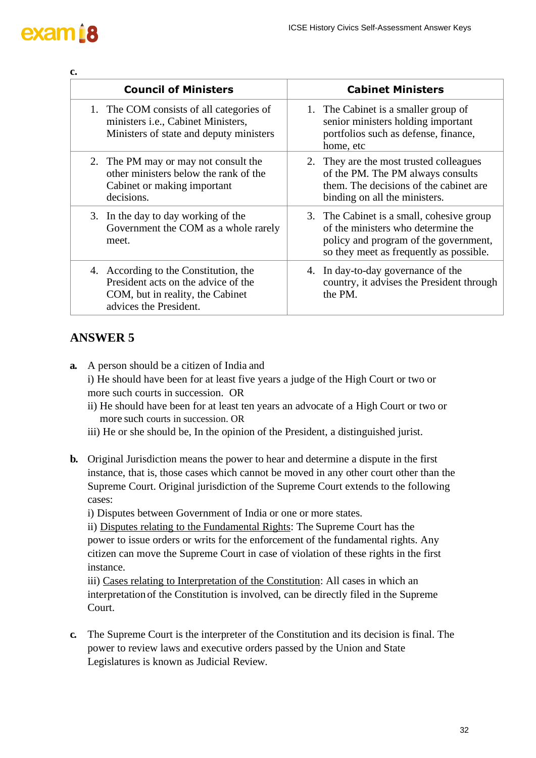## exam<sub>18</sub>

**c.**

| <b>Council of Ministers</b>                                                                                                                | <b>Cabinet Ministers</b>                                                                                                                                            |  |
|--------------------------------------------------------------------------------------------------------------------------------------------|---------------------------------------------------------------------------------------------------------------------------------------------------------------------|--|
| 1. The COM consists of all categories of<br>ministers <i>i.e.</i> , Cabinet Ministers,<br>Ministers of state and deputy ministers          | 1. The Cabinet is a smaller group of<br>senior ministers holding important<br>portfolios such as defense, finance,<br>home, etc                                     |  |
| 2. The PM may or may not consult the<br>other ministers below the rank of the<br>Cabinet or making important<br>decisions.                 | 2. They are the most trusted colleagues<br>of the PM. The PM always consults<br>them. The decisions of the cabinet are<br>binding on all the ministers.             |  |
| 3. In the day to day working of the<br>Government the COM as a whole rarely<br>meet.                                                       | 3. The Cabinet is a small, cohesive group<br>of the ministers who determine the<br>policy and program of the government,<br>so they meet as frequently as possible. |  |
| 4. According to the Constitution, the<br>President acts on the advice of the<br>COM, but in reality, the Cabinet<br>advices the President. | 4. In day-to-day governance of the<br>country, it advises the President through<br>the PM.                                                                          |  |

### **ANSWER 5**

- **a.** A person should be a citizen of India and i) He should have been for at least five years a judge of the High Court or two or
	- more such courts in succession. OR
	- ii) He should have been for at least ten years an advocate of a High Court or two or more such courts in succession. OR
	- iii) He or she should be, In the opinion of the President, a distinguished jurist.
- **b.** Original Jurisdiction means the power to hear and determine a dispute in the first instance, that is, those cases which cannot be moved in any other court other than the Supreme Court. Original jurisdiction of the Supreme Court extends to the following cases:

i) Disputes between Government of India or one or more states.

ii) Disputes relating to the Fundamental Rights: The Supreme Court has the power to issue orders or writs for the enforcement of the fundamental rights. Any citizen can move the Supreme Court in case of violation of these rights in the first instance.

iii) Cases relating to Interpretation of the Constitution: All cases in which an interpretation of the Constitution is involved, can be directly filed in the Supreme Court.

**c.** The Supreme Court is the interpreter of the Constitution and its decision is final. The power to review laws and executive orders passed by the Union and State Legislatures is known as Judicial Review.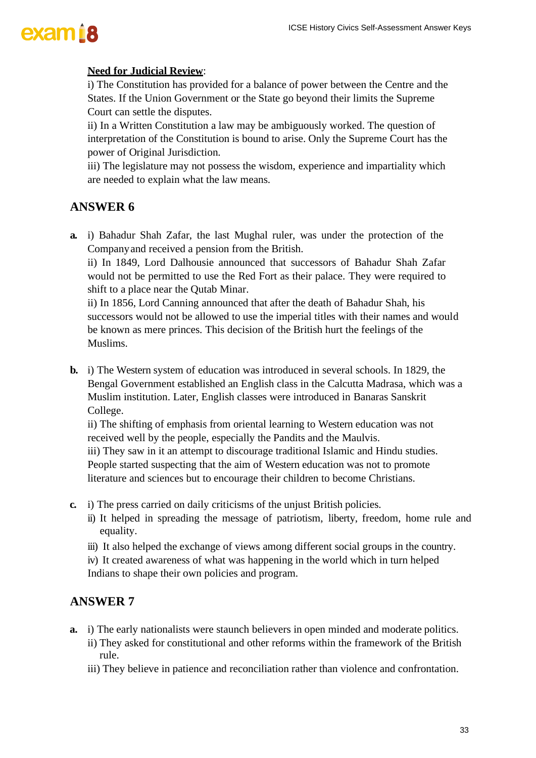#### **Need for Judicial Review**:

i) The Constitution has provided for a balance of power between the Centre and the States. If the Union Government or the State go beyond their limits the Supreme Court can settle the disputes.

ii) In a Written Constitution a law may be ambiguously worked. The question of interpretation of the Constitution is bound to arise. Only the Supreme Court has the power of Original Jurisdiction.

iii) The legislature may not possess the wisdom, experience and impartiality which are needed to explain what the law means.

#### **ANSWER 6**

**a.** i) Bahadur Shah Zafar, the last Mughal ruler, was under the protection of the Companyand received a pension from the British.

ii) In 1849, Lord Dalhousie announced that successors of Bahadur Shah Zafar would not be permitted to use the Red Fort as their palace. They were required to shift to a place near the Qutab Minar.

ii) In 1856, Lord Canning announced that after the death of Bahadur Shah, his successors would not be allowed to use the imperial titles with their names and would be known as mere princes. This decision of the British hurt the feelings of the Muslims.

**b.** i) The Western system of education was introduced in several schools. In 1829, the Bengal Government established an English class in the Calcutta Madrasa, which was a Muslim institution. Later, English classes were introduced in Banaras Sanskrit College.

ii) The shifting of emphasis from oriental learning to Western education was not received well by the people, especially the Pandits and the Maulvis.

iii) They saw in it an attempt to discourage traditional Islamic and Hindu studies. People started suspecting that the aim of Western education was not to promote literature and sciences but to encourage their children to become Christians.

- **c.** i) The press carried on daily criticisms of the unjust British policies.
	- ii) It helped in spreading the message of patriotism, liberty, freedom, home rule and equality.
	- iii) It also helped the exchange of views among different social groups in the country.
	- iv) It created awareness of what was happening in the world which in turn helped Indians to shape their own policies and program.

- **a.** i) The early nationalists were staunch believers in open minded and moderate politics.
	- ii) They asked for constitutional and other reforms within the framework of the British rule.
	- iii) They believe in patience and reconciliation rather than violence and confrontation.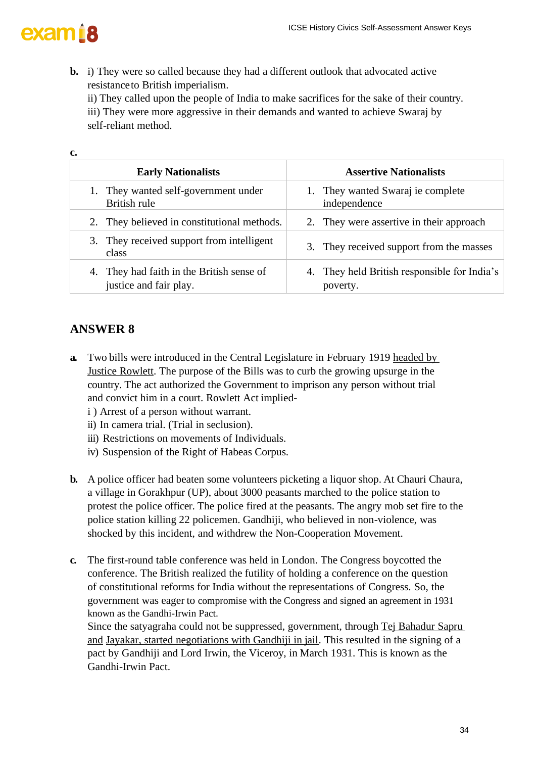

**c.**

**b.** i) They were so called because they had a different outlook that advocated active resistanceto British imperialism. ii) They called upon the people of India to make sacrifices for the sake of their country.

iii) They were more aggressive in their demands and wanted to achieve Swaraj by self-reliant method.

| ∼∙                                                                  |                                                          |  |
|---------------------------------------------------------------------|----------------------------------------------------------|--|
| <b>Early Nationalists</b>                                           | <b>Assertive Nationalists</b>                            |  |
| They wanted self-government under<br>British rule                   | 1. They wanted Swaraj ie complete<br>independence        |  |
| 2. They believed in constitutional methods.                         | 2. They were assertive in their approach                 |  |
| 3. They received support from intelligent<br>class                  | 3. They received support from the masses                 |  |
| 4. They had faith in the British sense of<br>justice and fair play. | 4. They held British responsible for India's<br>poverty. |  |

### **ANSWER 8**

- **a.** Two bills were introduced in the Central Legislature in February 1919 headed by Justice Rowlett. The purpose of the Bills was to curb the growing upsurge in the country. The act authorized the Government to imprison any person without trial and convict him in a court. Rowlett Act implied
	- i ) Arrest of a person without warrant.
	- ii) In camera trial. (Trial in seclusion).
	- iii) Restrictions on movements of Individuals.
	- iv) Suspension of the Right of Habeas Corpus.
- **b.** A police officer had beaten some volunteers picketing a liquor shop. At Chauri Chaura, a village in Gorakhpur (UP), about 3000 peasants marched to the police station to protest the police officer. The police fired at the peasants. The angry mob set fire to the police station killing 22 policemen. Gandhiji, who believed in non-violence, was shocked by this incident, and withdrew the Non-Cooperation Movement.
- **c.** The first-round table conference was held in London. The Congress boycotted the conference. The British realized the futility of holding a conference on the question of constitutional reforms for India without the representations of Congress. So, the government was eager to compromise with the Congress and signed an agreement in 1931 known as the Gandhi-Irwin Pact.

Since the satyagraha could not be suppressed, government, through Tej Bahadur Sapru and Jayakar, started negotiations with Gandhiji in jail. This resulted in the signing of a pact by Gandhiji and Lord Irwin, the Viceroy, in March 1931. This is known as the Gandhi-Irwin Pact.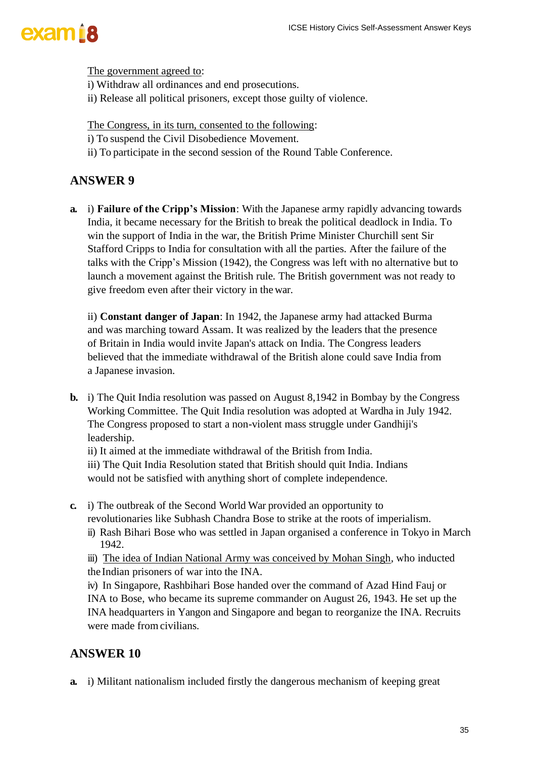The government agreed to:

- i) Withdraw all ordinances and end prosecutions.
- ii) Release all political prisoners, except those guilty of violence.

The Congress, in its turn, consented to the following:

- i) To suspend the Civil Disobedience Movement.
- ii) To participate in the second session of the Round Table Conference.

#### **ANSWER 9**

**a.** i) **Failure of the Cripp's Mission**: With the Japanese army rapidly advancing towards India, it became necessary for the British to break the political deadlock in India. To win the support of India in the war, the British Prime Minister Churchill sent Sir Stafford Cripps to India for consultation with all the parties. After the failure of the talks with the Cripp's Mission (1942), the Congress was left with no alternative but to launch a movement against the British rule. The British government was not ready to give freedom even after their victory in the war.

ii) **Constant danger of Japan**: In 1942, the Japanese army had attacked Burma and was marching toward Assam. It was realized by the leaders that the presence of Britain in India would invite Japan's attack on India. The Congress leaders believed that the immediate withdrawal of the British alone could save India from a Japanese invasion.

- **b.** i) The Quit India resolution was passed on August 8,1942 in Bombay by the Congress Working Committee. The Quit India resolution was adopted at Wardha in July 1942. The Congress proposed to start a non-violent mass struggle under Gandhiji's leadership.
	- ii) It aimed at the immediate withdrawal of the British from India.
	- iii) The Quit India Resolution stated that British should quit India. Indians would not be satisfied with anything short of complete independence.
- **c.** i) The outbreak of the Second World War provided an opportunity to revolutionaries like Subhash Chandra Bose to strike at the roots of imperialism.
	- ii) Rash Bihari Bose who was settled in Japan organised a conference in Tokyo in March 1942.

iii) The idea of Indian National Army was conceived by Mohan Singh, who inducted the Indian prisoners of war into the INA.

iv) In Singapore, Rashbihari Bose handed over the command of Azad Hind Fauj or INA to Bose, who became its supreme commander on August 26, 1943. He set up the INA headquarters in Yangon and Singapore and began to reorganize the INA. Recruits were made from civilians.

#### **ANSWER 10**

**a.** i) Militant nationalism included firstly the dangerous mechanism of keeping great